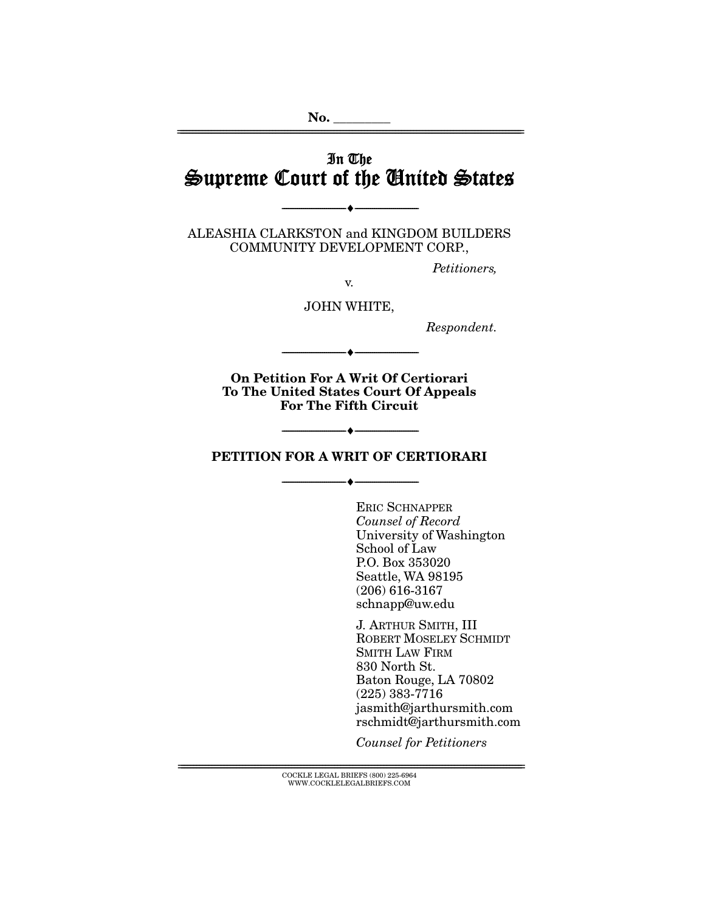# In The Supreme Court of the United States

================================================================================================================

ALEASHIA CLARKSTON and KINGDOM BUILDERS COMMUNITY DEVELOPMENT CORP.,

--------------------------------- ♦ ---------------------------------

Petitioners,

JOHN WHITE,

v.

Respondent.

**On Petition For A Writ Of Certiorari To The United States Court Of Appeals For The Fifth Circuit** 

--------------------------------- ♦ ---------------------------------

### **PETITION FOR A WRIT OF CERTIORARI**

--------------------------------- ♦ ---------------------------------

--------------------------------- ♦ ---------------------------------

ERIC SCHNAPPER Counsel of Record University of Washington School of Law P.O. Box 353020 Seattle, WA 98195 (206) 616-3167 schnapp@uw.edu

J. ARTHUR SMITH, III ROBERT MOSELEY SCHMIDT SMITH LAW FIRM 830 North St. Baton Rouge, LA 70802 (225) 383-7716 jasmith@jarthursmith.com rschmidt@jarthursmith.com

Counsel for Petitioners

 $\textsc{COCKLE}$ LEGAL BRIEFS (800) 225-6964 WWW.COCKLELEGALBRIEFS.COM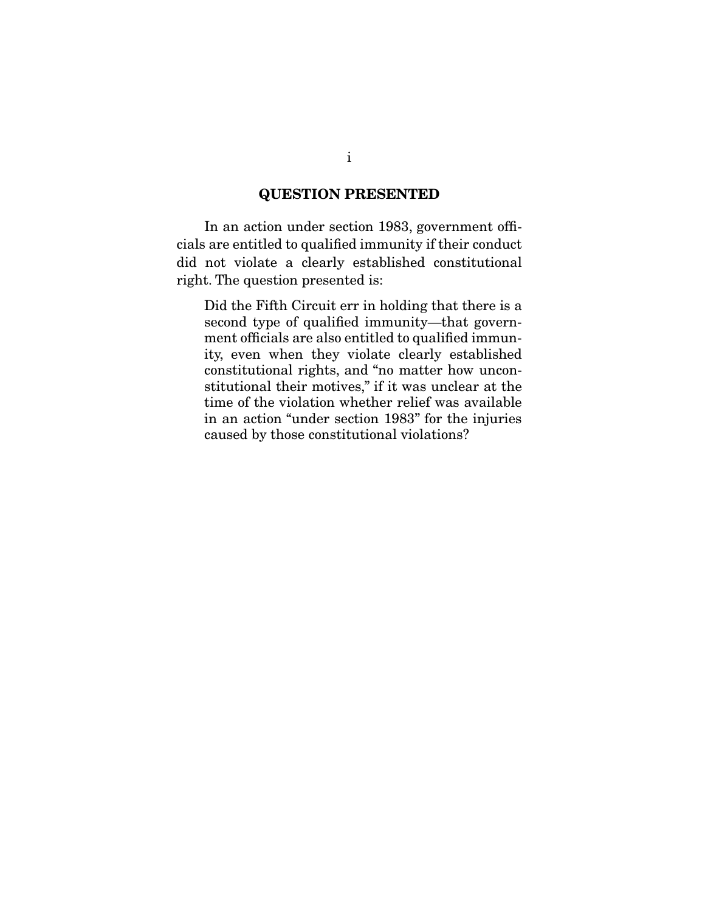# **QUESTION PRESENTED**

 In an action under section 1983, government officials are entitled to qualified immunity if their conduct did not violate a clearly established constitutional right. The question presented is:

Did the Fifth Circuit err in holding that there is a second type of qualified immunity—that government officials are also entitled to qualified immunity, even when they violate clearly established constitutional rights, and "no matter how unconstitutional their motives," if it was unclear at the time of the violation whether relief was available in an action "under section 1983" for the injuries caused by those constitutional violations?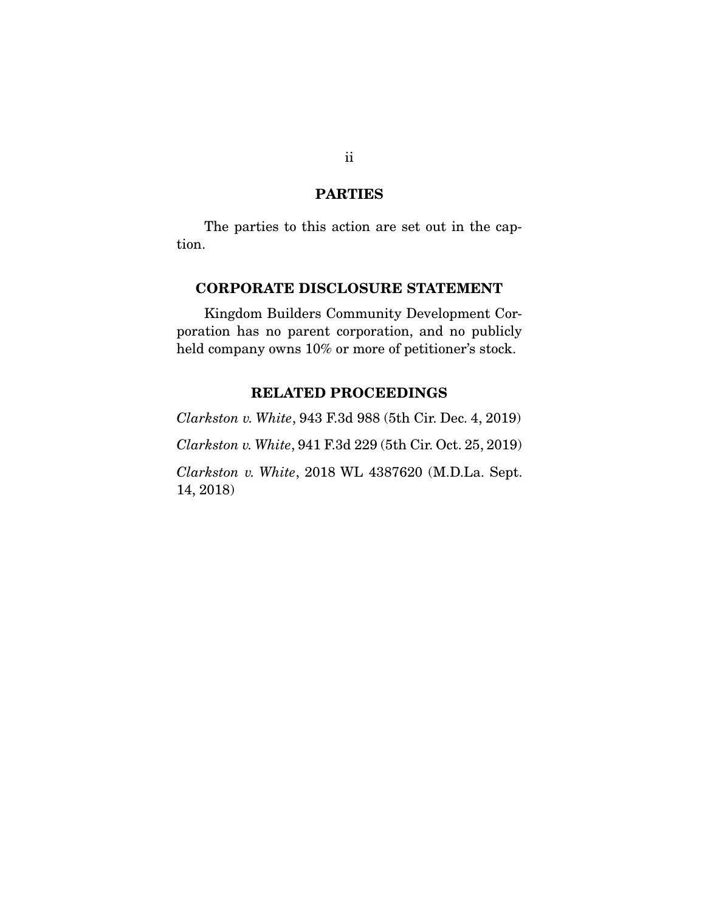# **PARTIES**

The parties to this action are set out in the caption.

# **CORPORATE DISCLOSURE STATEMENT**

 Kingdom Builders Community Development Corporation has no parent corporation, and no publicly held company owns 10% or more of petitioner's stock.

# **RELATED PROCEEDINGS**

*Clarkston v. White*, 943 F.3d 988 (5th Cir. Dec. 4, 2019) *Clarkston v. White*, 941 F.3d 229 (5th Cir. Oct. 25, 2019) *Clarkston v. White*, 2018 WL 4387620 (M.D.La. Sept. 14, 2018)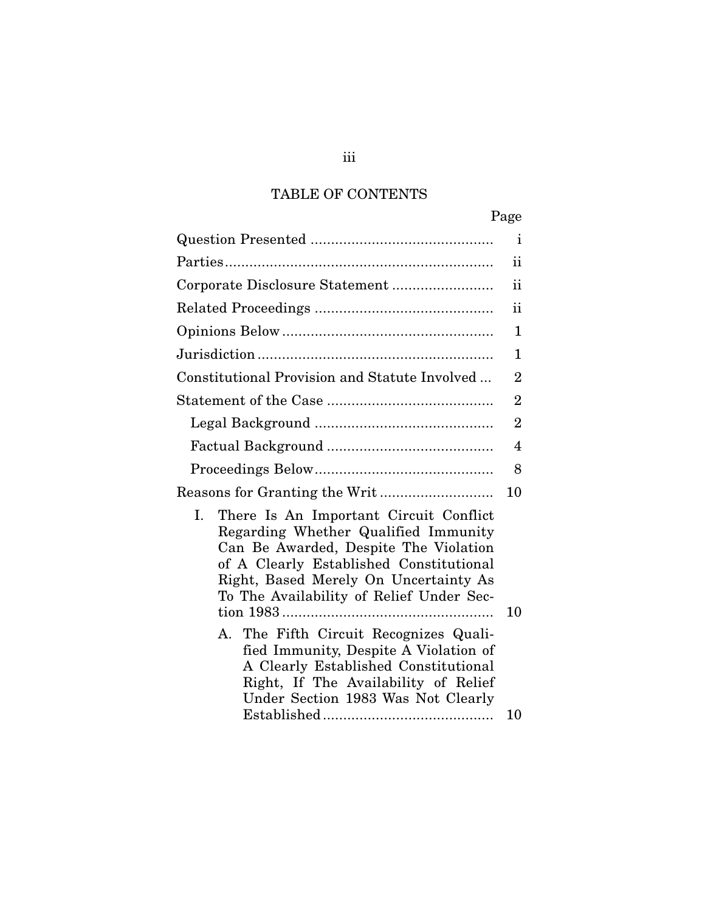# TABLE OF CONTENTS

|                                                                                                                                                                                                                                                               | Page           |
|---------------------------------------------------------------------------------------------------------------------------------------------------------------------------------------------------------------------------------------------------------------|----------------|
|                                                                                                                                                                                                                                                               | Ť              |
|                                                                                                                                                                                                                                                               | ii             |
|                                                                                                                                                                                                                                                               | ii             |
|                                                                                                                                                                                                                                                               | $\mathbf{ii}$  |
|                                                                                                                                                                                                                                                               | 1              |
|                                                                                                                                                                                                                                                               | 1              |
| Constitutional Provision and Statute Involved                                                                                                                                                                                                                 | $\overline{2}$ |
|                                                                                                                                                                                                                                                               | $\overline{2}$ |
|                                                                                                                                                                                                                                                               | $\overline{2}$ |
|                                                                                                                                                                                                                                                               | 4              |
|                                                                                                                                                                                                                                                               | 8              |
|                                                                                                                                                                                                                                                               | 10             |
| I.<br>There Is An Important Circuit Conflict<br>Regarding Whether Qualified Immunity<br>Can Be Awarded, Despite The Violation<br>of A Clearly Established Constitutional<br>Right, Based Merely On Uncertainty As<br>To The Availability of Relief Under Sec- | 10             |
| A. The Fifth Circuit Recognizes Quali-<br>fied Immunity, Despite A Violation of<br>A Clearly Established Constitutional<br>Right, If The Availability of Relief<br>Under Section 1983 Was Not Clearly                                                         |                |
|                                                                                                                                                                                                                                                               | 10             |

iii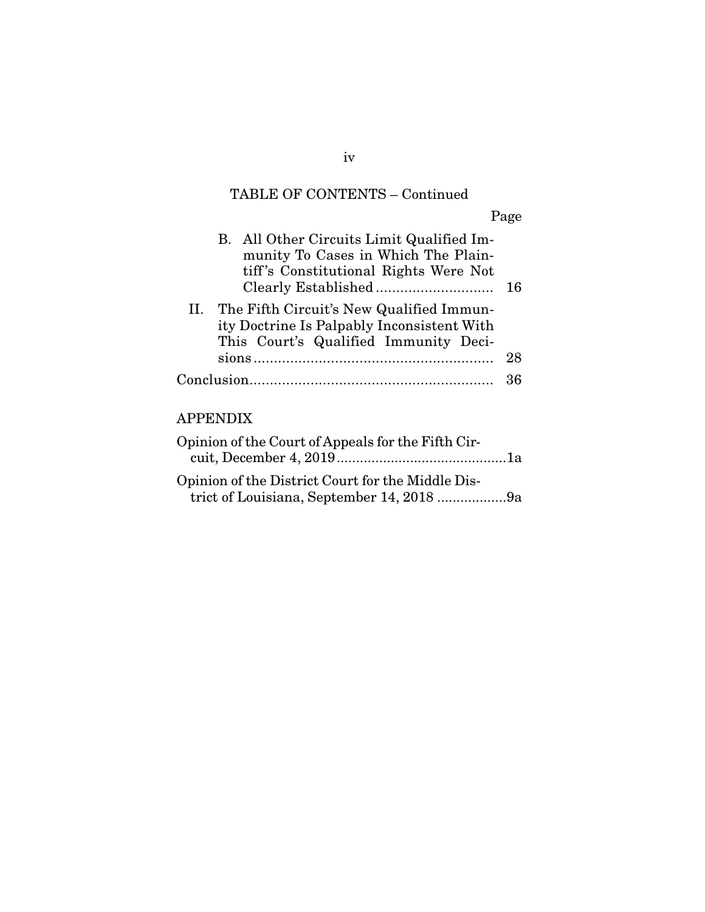# TABLE OF CONTENTS – Continued

Page

| B. All Other Circuits Limit Qualified Im-<br>munity To Cases in Which The Plain-<br>tiff's Constitutional Rights Were Not           | 16 |  |  |
|-------------------------------------------------------------------------------------------------------------------------------------|----|--|--|
| II. The Fifth Circuit's New Qualified Immun-<br>ity Doctrine Is Palpably Inconsistent With<br>This Court's Qualified Immunity Deci- |    |  |  |
|                                                                                                                                     | 28 |  |  |
|                                                                                                                                     |    |  |  |
| APPENDIX                                                                                                                            |    |  |  |
| Opinion of the Court of Appeals for the Fifth Cir-                                                                                  |    |  |  |

| Opinion of the District Court for the Middle Dis- |  |
|---------------------------------------------------|--|
| trict of Louisiana, September 14, 2018 9a         |  |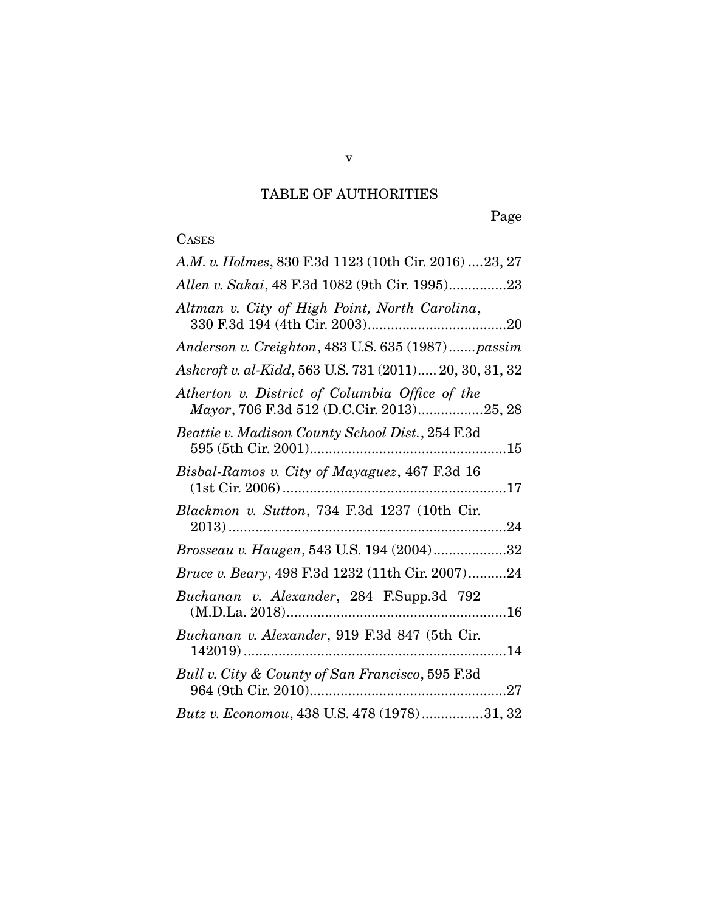# TABLE OF AUTHORITIES

Page

# CASES

| A.M. v. Holmes, 830 F.3d 1123 (10th Cir. 2016)  23, 27                                      |
|---------------------------------------------------------------------------------------------|
| Allen v. Sakai, 48 F.3d 1082 (9th Cir. 1995)23                                              |
| Altman v. City of High Point, North Carolina,                                               |
| Anderson v. Creighton, 483 U.S. 635 (1987)passim                                            |
| Ashcroft v. al-Kidd, 563 U.S. 731 (2011) 20, 30, 31, 32                                     |
| Atherton v. District of Columbia Office of the<br>Mayor, 706 F.3d 512 (D.C.Cir. 2013)25, 28 |
| Beattie v. Madison County School Dist., 254 F.3d                                            |
| Bisbal-Ramos v. City of Mayaguez, 467 F.3d 16                                               |
| Blackmon v. Sutton, 734 F.3d 1237 (10th Cir.                                                |
| Brosseau v. Haugen, 543 U.S. 194 (2004)32                                                   |
| Bruce v. Beary, 498 F.3d 1232 (11th Cir. 2007)24                                            |
| Buchanan v. Alexander, 284 F.Supp.3d 792                                                    |
| Buchanan v. Alexander, 919 F.3d 847 (5th Cir.                                               |
| Bull v. City & County of San Francisco, 595 F.3d                                            |
| Butz v. Economou, 438 U.S. 478 (1978)31, 32                                                 |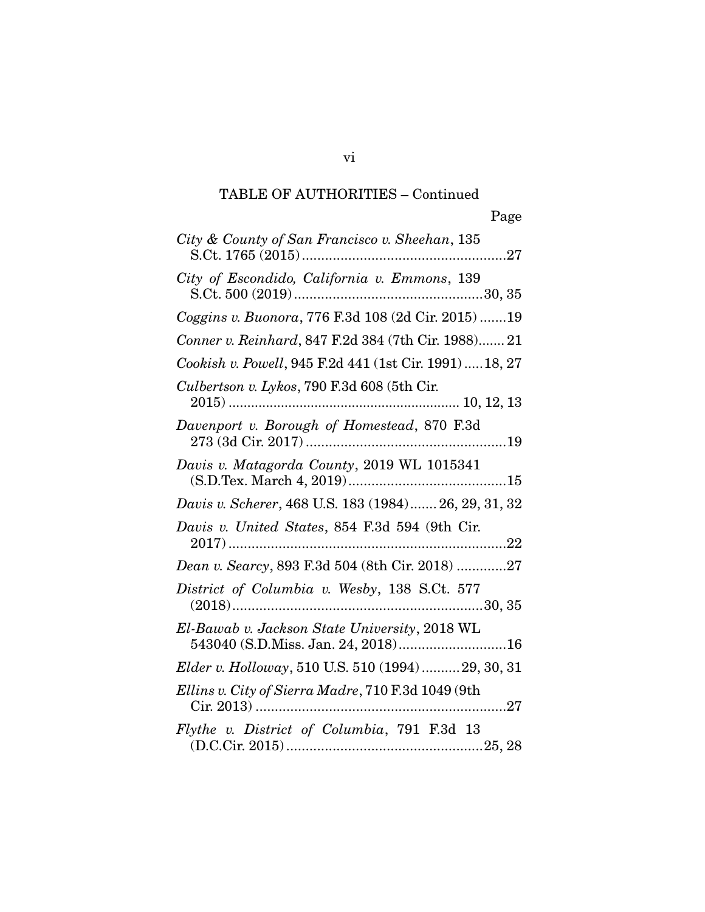| City & County of San Francisco v. Sheehan, 135                                      |
|-------------------------------------------------------------------------------------|
| City of Escondido, California v. Emmons, 139                                        |
| Coggins v. Buonora, 776 F.3d 108 (2d Cir. 2015) 19                                  |
| Conner v. Reinhard, 847 F.2d 384 (7th Cir. 1988) 21                                 |
| Cookish v. Powell, 945 F.2d 441 (1st Cir. 1991)  18, 27                             |
| Culbertson v. Lykos, 790 F.3d 608 (5th Cir.                                         |
| Davenport v. Borough of Homestead, 870 F.3d                                         |
| Davis v. Matagorda County, 2019 WL 1015341                                          |
| Davis v. Scherer, 468 U.S. 183 (1984) 26, 29, 31, 32                                |
| Davis v. United States, 854 F.3d 594 (9th Cir.                                      |
| Dean v. Searcy, 893 F.3d 504 (8th Cir. 2018) 27                                     |
| District of Columbia v. Wesby, 138 S.Ct. 577                                        |
| El-Bawab v. Jackson State University, 2018 WL<br>543040 (S.D.Miss. Jan. 24, 2018)16 |
| Elder v. Holloway, 510 U.S. 510 (1994)  29, 30, 31                                  |
| Ellins v. City of Sierra Madre, 710 F.3d 1049 (9th                                  |
| Flythe v. District of Columbia, 791 F.3d 13                                         |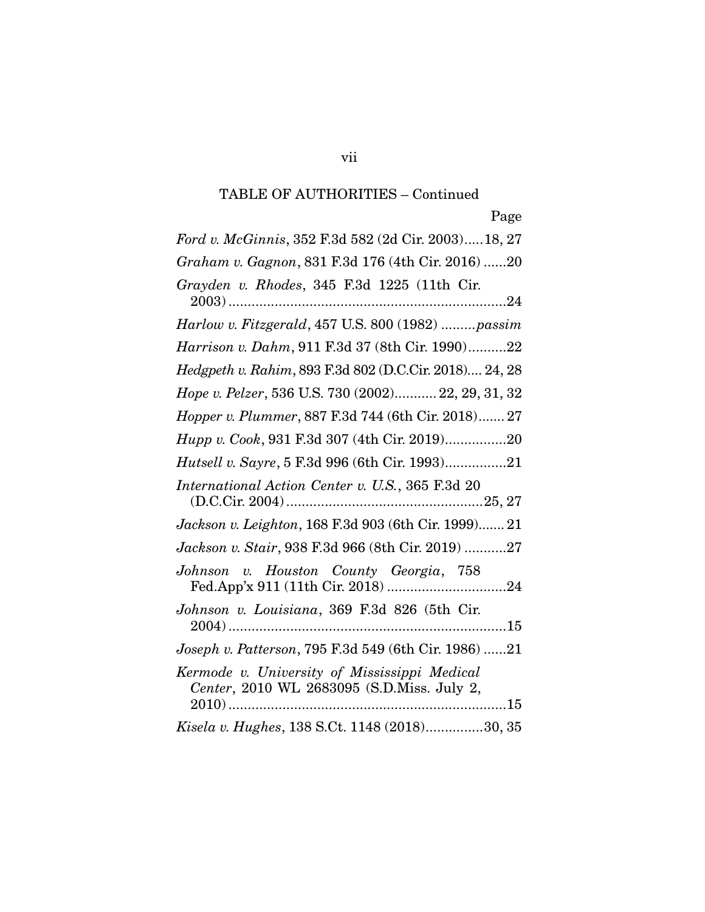*Ford v. McGinnis*, 352 F.3d 582 (2d Cir. 2003)..... 18, 27 *Graham v. Gagnon*, 831 F.3d 176 (4th Cir. 2016) ...... 20 *Grayden v. Rhodes*, 345 F.3d 1225 (11th Cir. 2003) ........................................................................ 24 *Harlow v. Fitzgerald*, 457 U.S. 800 (1982) ......... *passim Harrison v. Dahm*, 911 F.3d 37 (8th Cir. 1990) .......... 22 *Hedgpeth v. Rahim*, 893 F.3d 802 (D.C.Cir. 2018).... 24, 28 *Hope v. Pelzer*, 536 U.S. 730 (2002)........... 22, 29, 31, 32 *Hopper v. Plummer*, 887 F.3d 744 (6th Cir. 2018) ....... 27 *Hupp v. Cook*, 931 F.3d 307 (4th Cir. 2019) ................ 20 *Hutsell v. Sayre*, 5 F.3d 996 (6th Cir. 1993) ................ 21 *International Action Center v. U.S.*, 365 F.3d 20 (D.C.Cir. 2004) ................................................... 25, 27 *Jackson v. Leighton*, 168 F.3d 903 (6th Cir. 1999)....... 21 *Jackson v. Stair*, 938 F.3d 966 (8th Cir. 2019) ........... 27 *Johnson v. Houston County Georgia*, 758 Fed.App'x 911 (11th Cir. 2018) ............................... 24 *Johnson v. Louisiana*, 369 F.3d 826 (5th Cir. 2004) ........................................................................ 15 *Joseph v. Patterson*, 795 F.3d 549 (6th Cir. 1986) ...... 21 *Kermode v. University of Mississippi Medical Center*, 2010 WL 2683095 (S.D.Miss. July 2, 2010) ........................................................................ 15 *Kisela v. Hughes*, 138 S.Ct. 1148 (2018) ............... 30, 35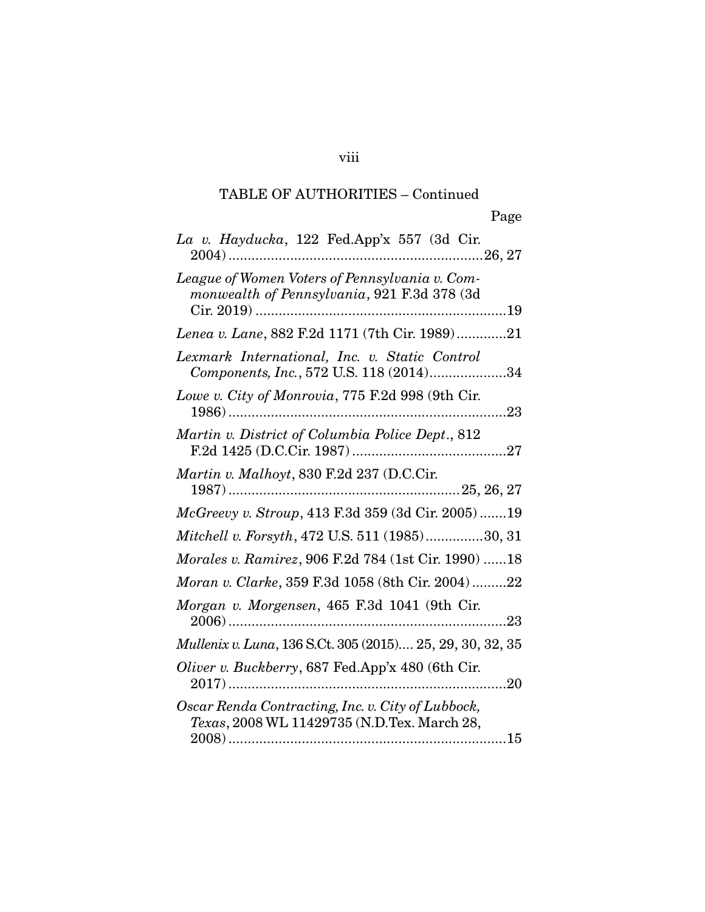viii

| La v. Hayducka, 122 Fed.App'x 557 (3d Cir.                                                       |
|--------------------------------------------------------------------------------------------------|
| League of Women Voters of Pennsylvania v. Com-<br>monwealth of Pennsylvania, 921 F.3d 378 (3d    |
| Lenea v. Lane, 882 F.2d 1171 (7th Cir. 1989)21                                                   |
| Lexmark International, Inc. v. Static Control<br>Components, Inc., 572 U.S. 118 (2014)34         |
| Lowe v. City of Monrovia, 775 F.2d 998 (9th Cir.                                                 |
| Martin v. District of Columbia Police Dept., 812                                                 |
| Martin v. Malhoyt, 830 F.2d 237 (D.C.Cir.                                                        |
| McGreevy v. Stroup, 413 F.3d 359 (3d Cir. 2005) 19                                               |
| Mitchell v. Forsyth, 472 U.S. 511 (1985)30, 31                                                   |
| Morales v. Ramirez, 906 F.2d 784 (1st Cir. 1990) 18                                              |
| Moran v. Clarke, 359 F.3d 1058 (8th Cir. 2004)22                                                 |
| Morgan v. Morgensen, 465 F.3d 1041 (9th Cir.                                                     |
| Mullenix v. Luna, 136 S.Ct. 305 (2015) 25, 29, 30, 32, 35                                        |
| Oliver v. Buckberry, 687 Fed.App'x 480 (6th Cir.                                                 |
| Oscar Renda Contracting, Inc. v. City of Lubbock,<br>Texas, 2008 WL 11429735 (N.D.Tex. March 28, |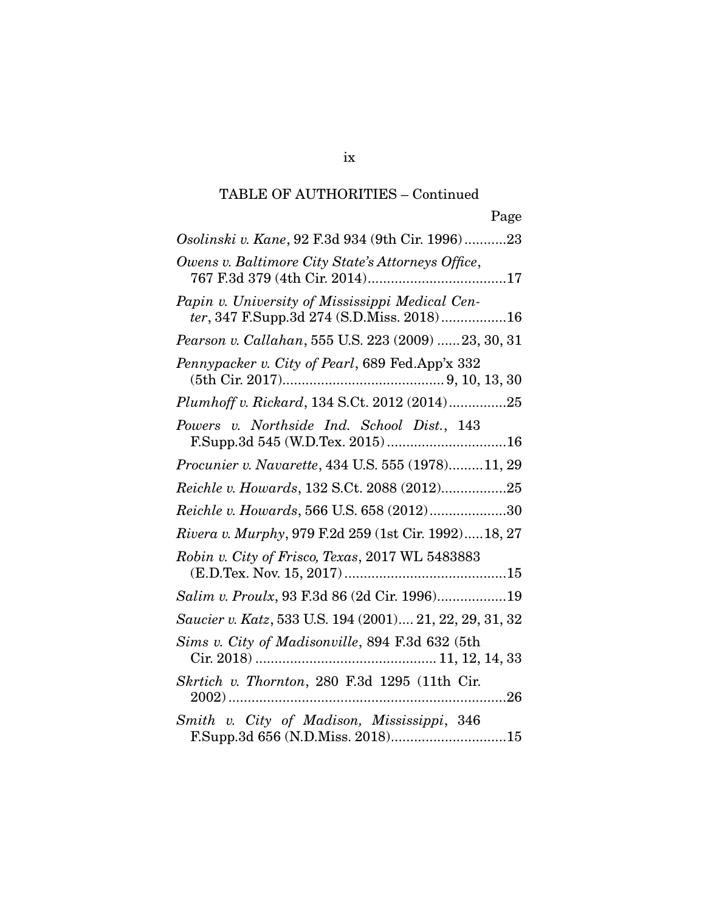| Page                                                                                         |
|----------------------------------------------------------------------------------------------|
| Osolinski v. Kane, 92 F.3d 934 (9th Cir. 1996)23                                             |
| Owens v. Baltimore City State's Attorneys Office,                                            |
| Papin v. University of Mississippi Medical Cen-<br>ter, 347 F.Supp.3d 274 (S.D.Miss. 2018)16 |
| Pearson v. Callahan, 555 U.S. 223 (2009) 23, 30, 31                                          |
| Pennypacker v. City of Pearl, 689 Fed.App'x 332                                              |
| Plumhoff v. Rickard, 134 S.Ct. 2012 (2014)25                                                 |
| Powers v. Northside Ind. School Dist., 143<br>F.Supp.3d 545 (W.D.Tex. 2015)16                |
| Procunier v. Navarette, 434 U.S. 555 (1978)11, 29                                            |
| Reichle v. Howards, 132 S.Ct. 2088 (2012)25                                                  |
| Reichle v. Howards, 566 U.S. 658 (2012)30                                                    |
| Rivera v. Murphy, 979 F.2d 259 (1st Cir. 1992)18, 27                                         |
| Robin v. City of Frisco, Texas, 2017 WL 5483883                                              |
| Salim v. Proulx, 93 F.3d 86 (2d Cir. 1996)19                                                 |
| Saucier v. Katz, 533 U.S. 194 (2001) 21, 22, 29, 31, 32                                      |
| Sims v. City of Madisonville, 894 F.3d 632 (5th                                              |
| Skrtich v. Thornton, 280 F.3d 1295 (11th Cir.<br>26                                          |
| Smith v. City of Madison, Mississippi, 346                                                   |

ix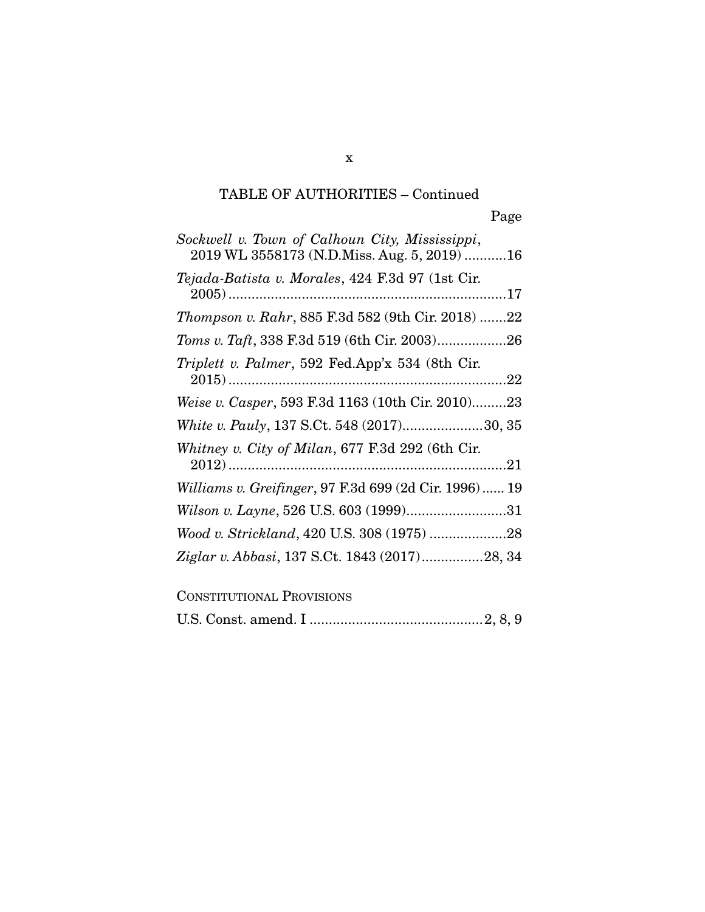| Sockwell v. Town of Calhoun City, Mississippi,<br>2019 WL 3558173 (N.D.Miss. Aug. 5, 2019) 16 |
|-----------------------------------------------------------------------------------------------|
| Tejada-Batista v. Morales, 424 F.3d 97 (1st Cir.                                              |
| Thompson v. Rahr, 885 F.3d 582 (9th Cir. 2018) 22                                             |
|                                                                                               |
| Triplett v. Palmer, 592 Fed.App'x 534 (8th Cir.                                               |
| Weise v. Casper, 593 F.3d 1163 (10th Cir. 2010)23                                             |
| White v. Pauly, 137 S.Ct. 548 (2017)30, 35                                                    |
| Whitney v. City of Milan, 677 F.3d 292 (6th Cir.                                              |
| Williams v. Greifinger, 97 F.3d 699 (2d Cir. 1996)  19                                        |
| Wilson v. Layne, 526 U.S. 603 (1999)31                                                        |
|                                                                                               |
| Ziglar v. Abbasi, 137 S.Ct. 1843 (2017)28, 34                                                 |
| <b>CONSTITUTIONAL PROVISIONS</b>                                                              |

|--|--|--|--|--|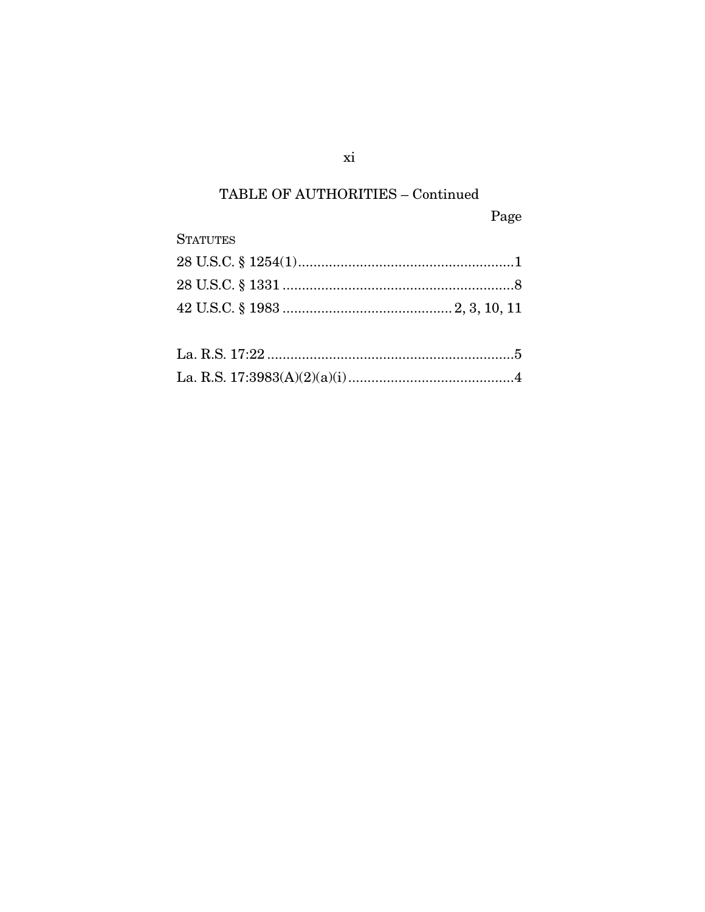Page

| <b>STATUTES</b> |  |
|-----------------|--|
|                 |  |
|                 |  |
|                 |  |
|                 |  |
|                 |  |
|                 |  |

 $xi$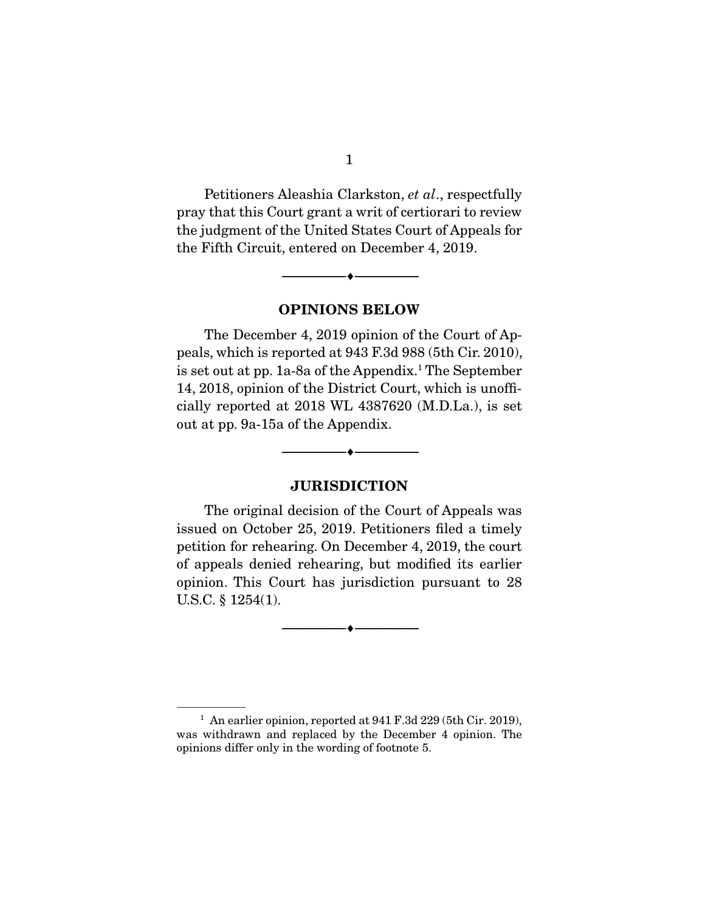Petitioners Aleashia Clarkston, *et al*., respectfully pray that this Court grant a writ of certiorari to review the judgment of the United States Court of Appeals for the Fifth Circuit, entered on December 4, 2019.

**OPINIONS BELOW** 

--------------------------------- ♦ ---------------------------------

 The December 4, 2019 opinion of the Court of Appeals, which is reported at 943 F.3d 988 (5th Cir. 2010), is set out at pp. 1a-8a of the Appendix.1 The September 14, 2018, opinion of the District Court, which is unofficially reported at 2018 WL 4387620 (M.D.La.), is set out at pp. 9a-15a of the Appendix.

#### **JURISDICTION**

--------------------------------- ♦ ---------------------------------

 The original decision of the Court of Appeals was issued on October 25, 2019. Petitioners filed a timely petition for rehearing. On December 4, 2019, the court of appeals denied rehearing, but modified its earlier opinion. This Court has jurisdiction pursuant to 28 U.S.C. § 1254(1).

 $\overbrace{\hspace{2.5cm}}^{\bullet}$   $\overbrace{\hspace{2.5cm}}^{\bullet}$ 

<sup>1</sup> An earlier opinion, reported at 941 F.3d 229 (5th Cir. 2019), was withdrawn and replaced by the December 4 opinion. The opinions differ only in the wording of footnote 5.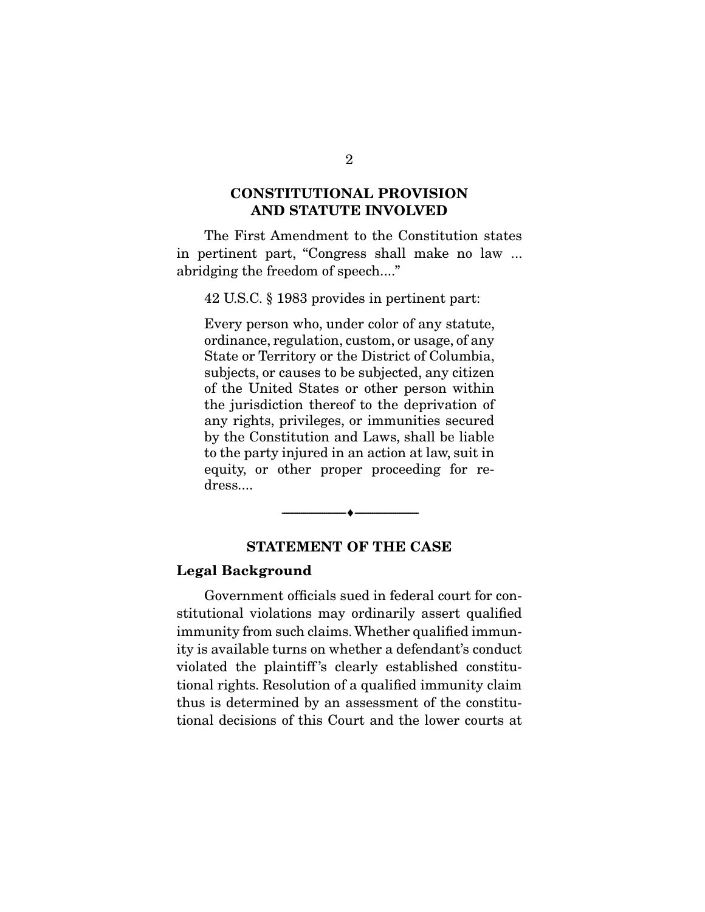# **CONSTITUTIONAL PROVISION AND STATUTE INVOLVED**

 The First Amendment to the Constitution states in pertinent part, "Congress shall make no law ... abridging the freedom of speech...."

42 U.S.C. § 1983 provides in pertinent part:

Every person who, under color of any statute, ordinance, regulation, custom, or usage, of any State or Territory or the District of Columbia, subjects, or causes to be subjected, any citizen of the United States or other person within the jurisdiction thereof to the deprivation of any rights, privileges, or immunities secured by the Constitution and Laws, shall be liable to the party injured in an action at law, suit in equity, or other proper proceeding for redress....

# **STATEMENT OF THE CASE**

--------------------------------- ♦ ---------------------------------

#### **Legal Background**

 Government officials sued in federal court for constitutional violations may ordinarily assert qualified immunity from such claims. Whether qualified immunity is available turns on whether a defendant's conduct violated the plaintiff 's clearly established constitutional rights. Resolution of a qualified immunity claim thus is determined by an assessment of the constitutional decisions of this Court and the lower courts at

2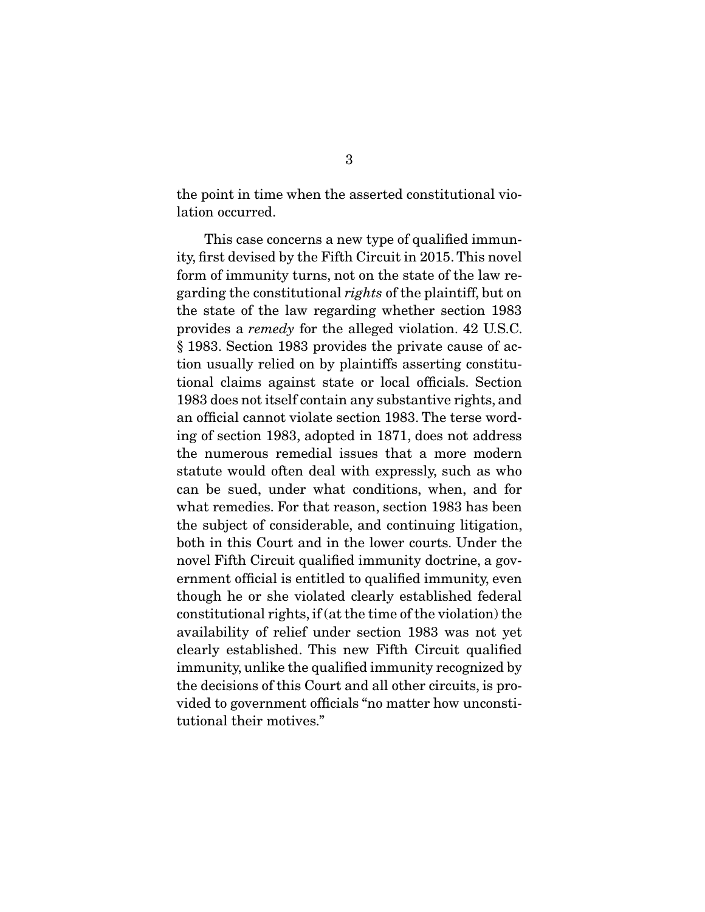the point in time when the asserted constitutional violation occurred.

 This case concerns a new type of qualified immunity, first devised by the Fifth Circuit in 2015. This novel form of immunity turns, not on the state of the law regarding the constitutional *rights* of the plaintiff, but on the state of the law regarding whether section 1983 provides a *remedy* for the alleged violation. 42 U.S.C. § 1983. Section 1983 provides the private cause of action usually relied on by plaintiffs asserting constitutional claims against state or local officials. Section 1983 does not itself contain any substantive rights, and an official cannot violate section 1983. The terse wording of section 1983, adopted in 1871, does not address the numerous remedial issues that a more modern statute would often deal with expressly, such as who can be sued, under what conditions, when, and for what remedies. For that reason, section 1983 has been the subject of considerable, and continuing litigation, both in this Court and in the lower courts. Under the novel Fifth Circuit qualified immunity doctrine, a government official is entitled to qualified immunity, even though he or she violated clearly established federal constitutional rights, if (at the time of the violation) the availability of relief under section 1983 was not yet clearly established. This new Fifth Circuit qualified immunity, unlike the qualified immunity recognized by the decisions of this Court and all other circuits, is provided to government officials "no matter how unconstitutional their motives."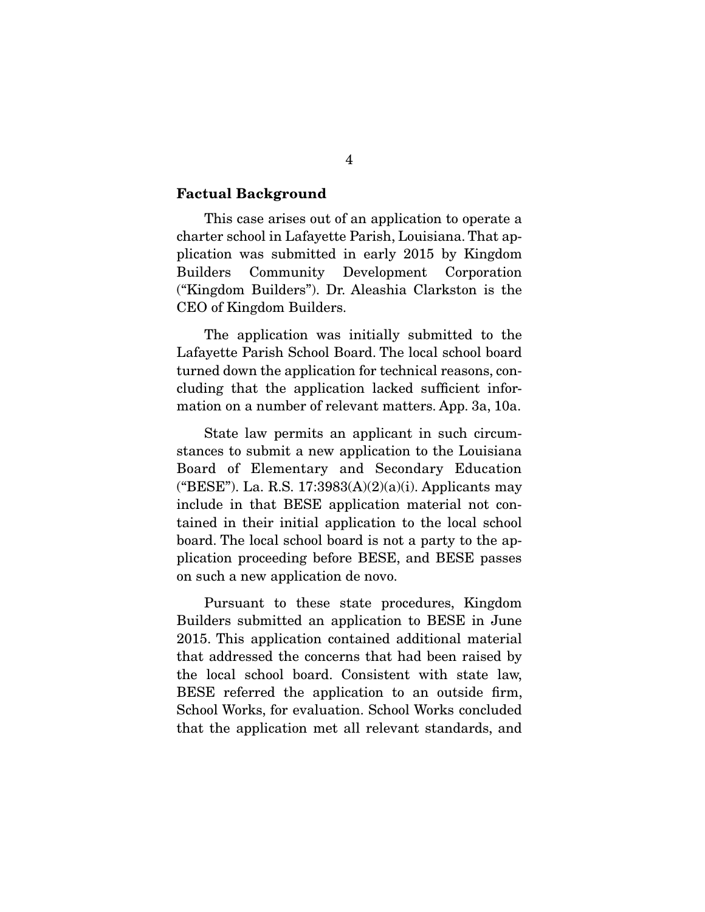#### **Factual Background**

 This case arises out of an application to operate a charter school in Lafayette Parish, Louisiana. That application was submitted in early 2015 by Kingdom Builders Community Development Corporation ("Kingdom Builders"). Dr. Aleashia Clarkston is the CEO of Kingdom Builders.

 The application was initially submitted to the Lafayette Parish School Board. The local school board turned down the application for technical reasons, concluding that the application lacked sufficient information on a number of relevant matters. App. 3a, 10a.

 State law permits an applicant in such circumstances to submit a new application to the Louisiana Board of Elementary and Secondary Education ("BESE"). La. R.S. 17:3983 $(A)(2)(a)(i)$ . Applicants may include in that BESE application material not contained in their initial application to the local school board. The local school board is not a party to the application proceeding before BESE, and BESE passes on such a new application de novo.

 Pursuant to these state procedures, Kingdom Builders submitted an application to BESE in June 2015. This application contained additional material that addressed the concerns that had been raised by the local school board. Consistent with state law, BESE referred the application to an outside firm, School Works, for evaluation. School Works concluded that the application met all relevant standards, and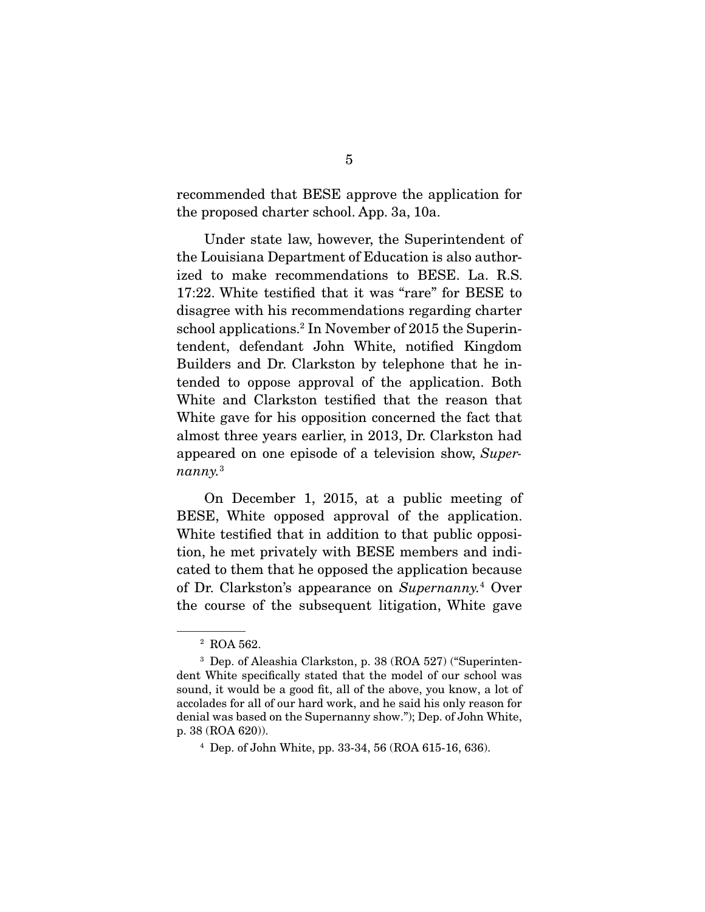recommended that BESE approve the application for the proposed charter school. App. 3a, 10a.

 Under state law, however, the Superintendent of the Louisiana Department of Education is also authorized to make recommendations to BESE. La. R.S. 17:22. White testified that it was "rare" for BESE to disagree with his recommendations regarding charter school applications.<sup>2</sup> In November of 2015 the Superintendent, defendant John White, notified Kingdom Builders and Dr. Clarkston by telephone that he intended to oppose approval of the application. Both White and Clarkston testified that the reason that White gave for his opposition concerned the fact that almost three years earlier, in 2013, Dr. Clarkston had appeared on one episode of a television show, *Supernanny.*<sup>3</sup>

 On December 1, 2015, at a public meeting of BESE, White opposed approval of the application. White testified that in addition to that public opposition, he met privately with BESE members and indicated to them that he opposed the application because of Dr. Clarkston's appearance on *Supernanny.*<sup>4</sup> Over the course of the subsequent litigation, White gave

<sup>&</sup>lt;sup>2</sup> ROA 562.

<sup>3</sup> Dep. of Aleashia Clarkston, p. 38 (ROA 527) ("Superintendent White specifically stated that the model of our school was sound, it would be a good fit, all of the above, you know, a lot of accolades for all of our hard work, and he said his only reason for denial was based on the Supernanny show."); Dep. of John White, p. 38 (ROA 620)).

 $4$  Dep. of John White, pp. 33-34, 56 (ROA 615-16, 636).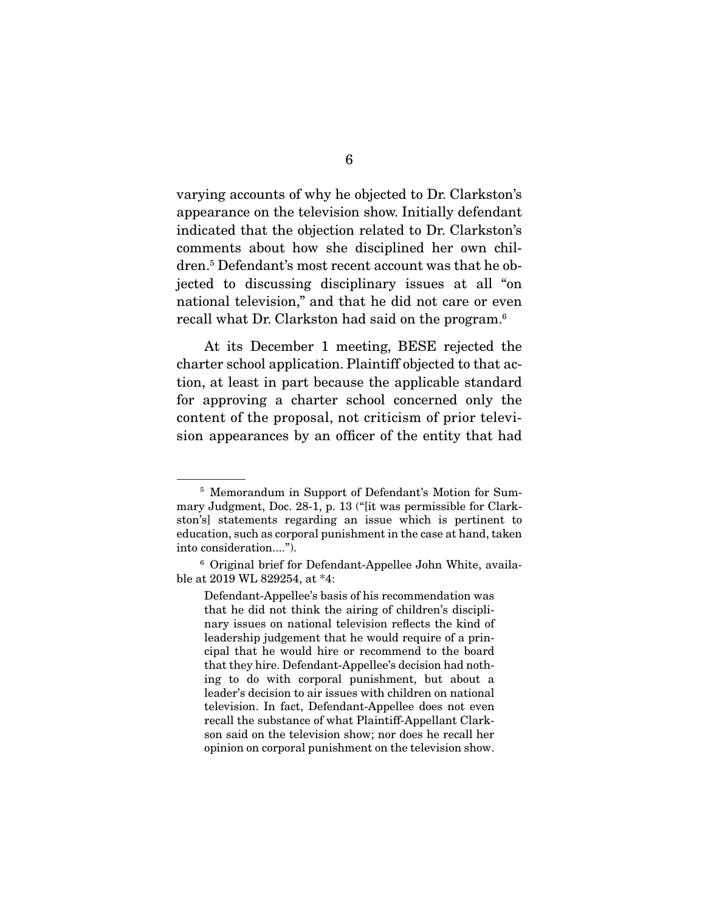varying accounts of why he objected to Dr. Clarkston's appearance on the television show. Initially defendant indicated that the objection related to Dr. Clarkston's comments about how she disciplined her own children.5 Defendant's most recent account was that he objected to discussing disciplinary issues at all "on national television," and that he did not care or even recall what Dr. Clarkston had said on the program.6

 At its December 1 meeting, BESE rejected the charter school application. Plaintiff objected to that action, at least in part because the applicable standard for approving a charter school concerned only the content of the proposal, not criticism of prior television appearances by an officer of the entity that had

<sup>5</sup> Memorandum in Support of Defendant's Motion for Summary Judgment, Doc. 28-1, p. 13 ("[it was permissible for Clarkston's] statements regarding an issue which is pertinent to education, such as corporal punishment in the case at hand, taken into consideration....").

<sup>6</sup> Original brief for Defendant-Appellee John White, available at 2019 WL 829254, at \*4:

Defendant-Appellee's basis of his recommendation was that he did not think the airing of children's disciplinary issues on national television reflects the kind of leadership judgement that he would require of a principal that he would hire or recommend to the board that they hire. Defendant-Appellee's decision had nothing to do with corporal punishment, but about a leader's decision to air issues with children on national television. In fact, Defendant-Appellee does not even recall the substance of what Plaintiff-Appellant Clarkson said on the television show; nor does he recall her opinion on corporal punishment on the television show.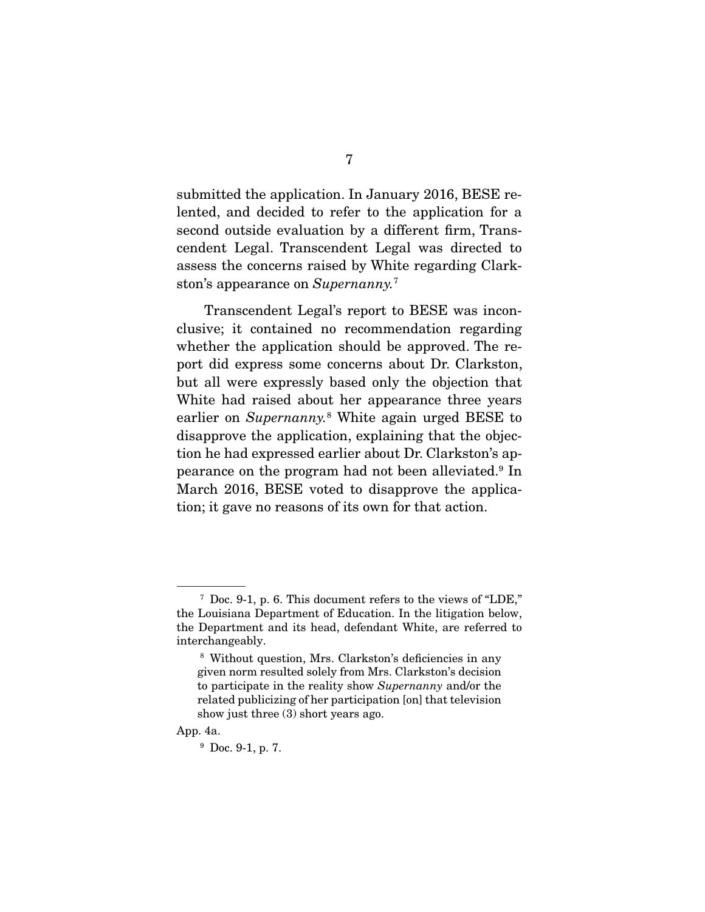submitted the application. In January 2016, BESE relented, and decided to refer to the application for a second outside evaluation by a different firm, Transcendent Legal. Transcendent Legal was directed to assess the concerns raised by White regarding Clarkston's appearance on *Supernanny.*<sup>7</sup>

 Transcendent Legal's report to BESE was inconclusive; it contained no recommendation regarding whether the application should be approved. The report did express some concerns about Dr. Clarkston, but all were expressly based only the objection that White had raised about her appearance three years earlier on *Supernanny.*<sup>8</sup> White again urged BESE to disapprove the application, explaining that the objection he had expressed earlier about Dr. Clarkston's appearance on the program had not been alleviated.9 In March 2016, BESE voted to disapprove the application; it gave no reasons of its own for that action.

 $7$  Doc. 9-1, p. 6. This document refers to the views of "LDE," the Louisiana Department of Education. In the litigation below, the Department and its head, defendant White, are referred to interchangeably.

<sup>8</sup> Without question, Mrs. Clarkston's deficiencies in any given norm resulted solely from Mrs. Clarkston's decision to participate in the reality show *Supernanny* and/or the related publicizing of her participation [on] that television show just three (3) short years ago.

App. 4a.

<sup>9</sup> Doc. 9-1, p. 7.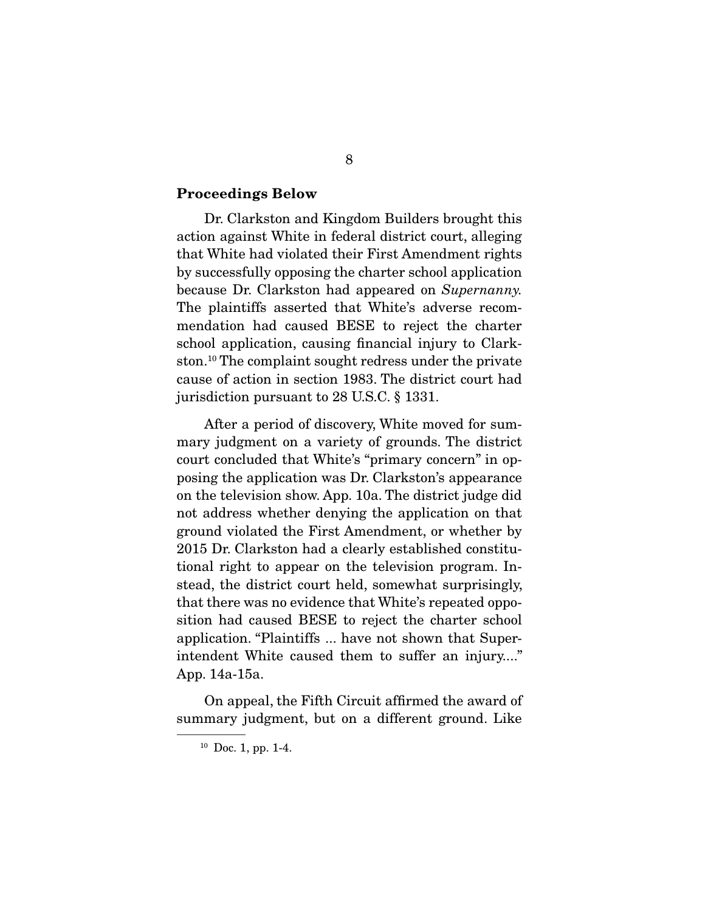#### **Proceedings Below**

 Dr. Clarkston and Kingdom Builders brought this action against White in federal district court, alleging that White had violated their First Amendment rights by successfully opposing the charter school application because Dr. Clarkston had appeared on *Supernanny.*  The plaintiffs asserted that White's adverse recommendation had caused BESE to reject the charter school application, causing financial injury to Clarkston.10 The complaint sought redress under the private cause of action in section 1983. The district court had jurisdiction pursuant to 28 U.S.C. § 1331.

 After a period of discovery, White moved for summary judgment on a variety of grounds. The district court concluded that White's "primary concern" in opposing the application was Dr. Clarkston's appearance on the television show. App. 10a. The district judge did not address whether denying the application on that ground violated the First Amendment, or whether by 2015 Dr. Clarkston had a clearly established constitutional right to appear on the television program. Instead, the district court held, somewhat surprisingly, that there was no evidence that White's repeated opposition had caused BESE to reject the charter school application. "Plaintiffs ... have not shown that Superintendent White caused them to suffer an injury...." App. 14a-15a.

 On appeal, the Fifth Circuit affirmed the award of summary judgment, but on a different ground. Like

 $10$  Doc. 1, pp. 1-4.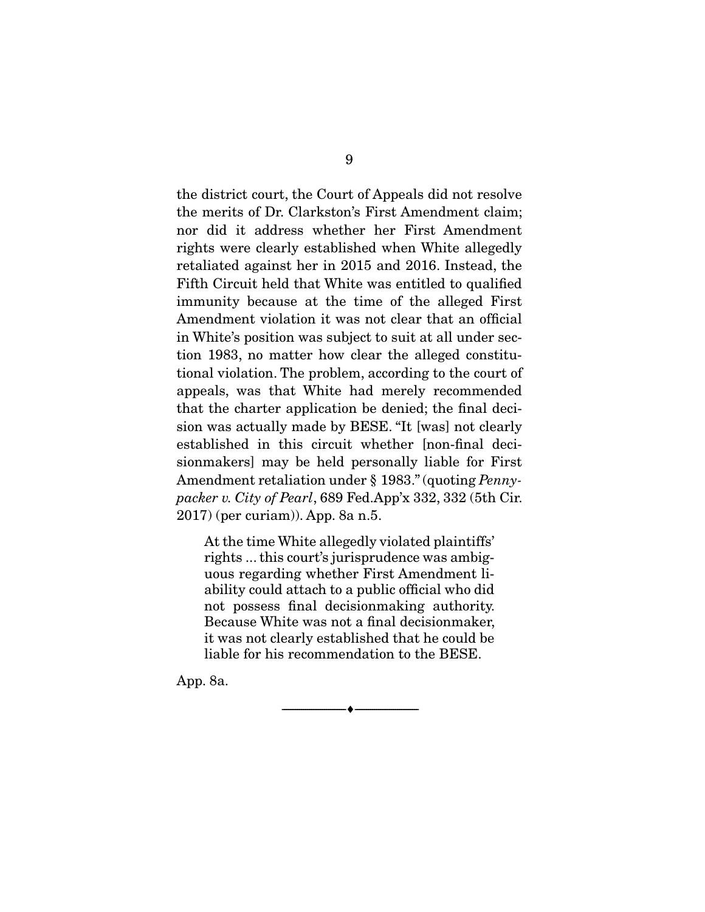the district court, the Court of Appeals did not resolve the merits of Dr. Clarkston's First Amendment claim; nor did it address whether her First Amendment rights were clearly established when White allegedly retaliated against her in 2015 and 2016. Instead, the Fifth Circuit held that White was entitled to qualified immunity because at the time of the alleged First Amendment violation it was not clear that an official in White's position was subject to suit at all under section 1983, no matter how clear the alleged constitutional violation. The problem, according to the court of appeals, was that White had merely recommended that the charter application be denied; the final decision was actually made by BESE. "It [was] not clearly established in this circuit whether [non-final decisionmakers] may be held personally liable for First Amendment retaliation under § 1983." (quoting *Pennypacker v. City of Pearl*, 689 Fed.App'x 332, 332 (5th Cir. 2017) (per curiam)). App. 8a n.5.

At the time White allegedly violated plaintiffs' rights ... this court's jurisprudence was ambiguous regarding whether First Amendment liability could attach to a public official who did not possess final decisionmaking authority. Because White was not a final decisionmaker, it was not clearly established that he could be liable for his recommendation to the BESE.

--------------------------------- ♦ ---------------------------------

App. 8a.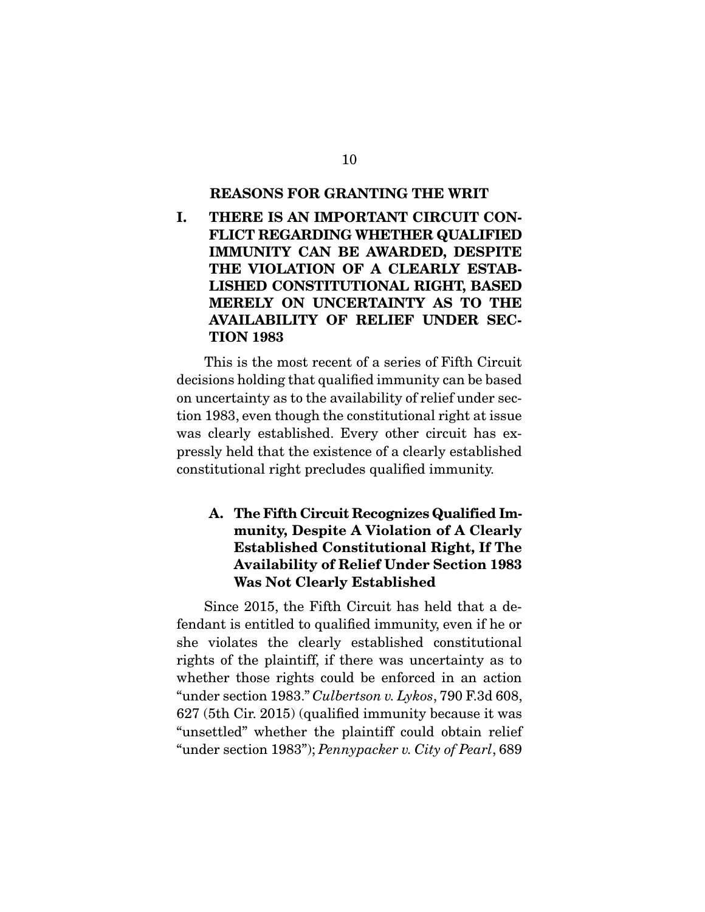#### **REASONS FOR GRANTING THE WRIT**

**I. THERE IS AN IMPORTANT CIRCUIT CON-FLICT REGARDING WHETHER QUALIFIED IMMUNITY CAN BE AWARDED, DESPITE THE VIOLATION OF A CLEARLY ESTAB-LISHED CONSTITUTIONAL RIGHT, BASED MERELY ON UNCERTAINTY AS TO THE AVAILABILITY OF RELIEF UNDER SEC-TION 1983** 

 This is the most recent of a series of Fifth Circuit decisions holding that qualified immunity can be based on uncertainty as to the availability of relief under section 1983, even though the constitutional right at issue was clearly established. Every other circuit has expressly held that the existence of a clearly established constitutional right precludes qualified immunity.

# **A. The Fifth Circuit Recognizes Qualified Immunity, Despite A Violation of A Clearly Established Constitutional Right, If The Availability of Relief Under Section 1983 Was Not Clearly Established**

 Since 2015, the Fifth Circuit has held that a defendant is entitled to qualified immunity, even if he or she violates the clearly established constitutional rights of the plaintiff, if there was uncertainty as to whether those rights could be enforced in an action "under section 1983." *Culbertson v. Lykos*, 790 F.3d 608, 627 (5th Cir. 2015) (qualified immunity because it was "unsettled" whether the plaintiff could obtain relief "under section 1983"); *Pennypacker v. City of Pearl*, 689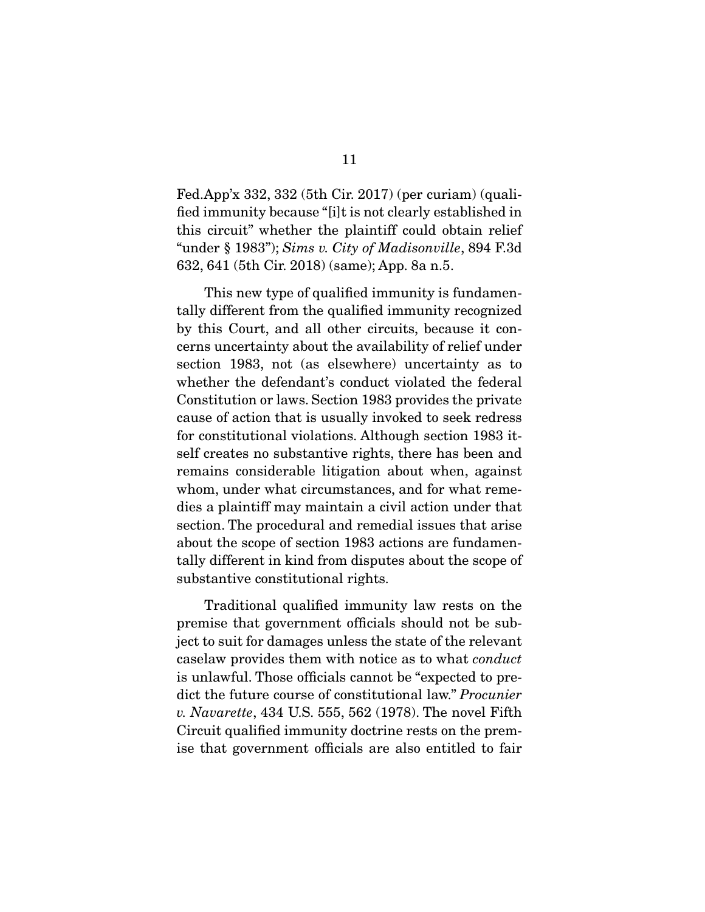Fed.App'x 332, 332 (5th Cir. 2017) (per curiam) (qualified immunity because "[i]t is not clearly established in this circuit" whether the plaintiff could obtain relief "under § 1983"); *Sims v. City of Madisonville*, 894 F.3d 632, 641 (5th Cir. 2018) (same); App. 8a n.5.

 This new type of qualified immunity is fundamentally different from the qualified immunity recognized by this Court, and all other circuits, because it concerns uncertainty about the availability of relief under section 1983, not (as elsewhere) uncertainty as to whether the defendant's conduct violated the federal Constitution or laws. Section 1983 provides the private cause of action that is usually invoked to seek redress for constitutional violations. Although section 1983 itself creates no substantive rights, there has been and remains considerable litigation about when, against whom, under what circumstances, and for what remedies a plaintiff may maintain a civil action under that section. The procedural and remedial issues that arise about the scope of section 1983 actions are fundamentally different in kind from disputes about the scope of substantive constitutional rights.

 Traditional qualified immunity law rests on the premise that government officials should not be subject to suit for damages unless the state of the relevant caselaw provides them with notice as to what *conduct* is unlawful. Those officials cannot be "expected to predict the future course of constitutional law." *Procunier v. Navarette*, 434 U.S. 555, 562 (1978). The novel Fifth Circuit qualified immunity doctrine rests on the premise that government officials are also entitled to fair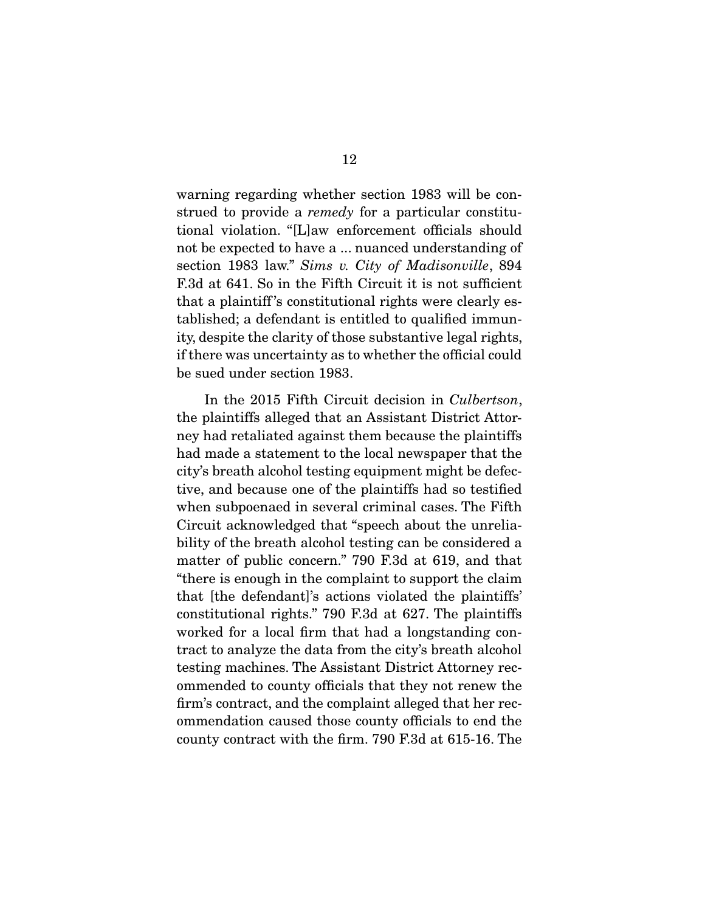warning regarding whether section 1983 will be construed to provide a *remedy* for a particular constitutional violation. "[L]aw enforcement officials should not be expected to have a ... nuanced understanding of section 1983 law." *Sims v. City of Madisonville*, 894 F.3d at 641. So in the Fifth Circuit it is not sufficient that a plaintiff 's constitutional rights were clearly established; a defendant is entitled to qualified immunity, despite the clarity of those substantive legal rights, if there was uncertainty as to whether the official could be sued under section 1983.

 In the 2015 Fifth Circuit decision in *Culbertson*, the plaintiffs alleged that an Assistant District Attorney had retaliated against them because the plaintiffs had made a statement to the local newspaper that the city's breath alcohol testing equipment might be defective, and because one of the plaintiffs had so testified when subpoenaed in several criminal cases. The Fifth Circuit acknowledged that "speech about the unreliability of the breath alcohol testing can be considered a matter of public concern." 790 F.3d at 619, and that "there is enough in the complaint to support the claim that [the defendant]'s actions violated the plaintiffs' constitutional rights." 790 F.3d at 627. The plaintiffs worked for a local firm that had a longstanding contract to analyze the data from the city's breath alcohol testing machines. The Assistant District Attorney recommended to county officials that they not renew the firm's contract, and the complaint alleged that her recommendation caused those county officials to end the county contract with the firm. 790 F.3d at 615-16. The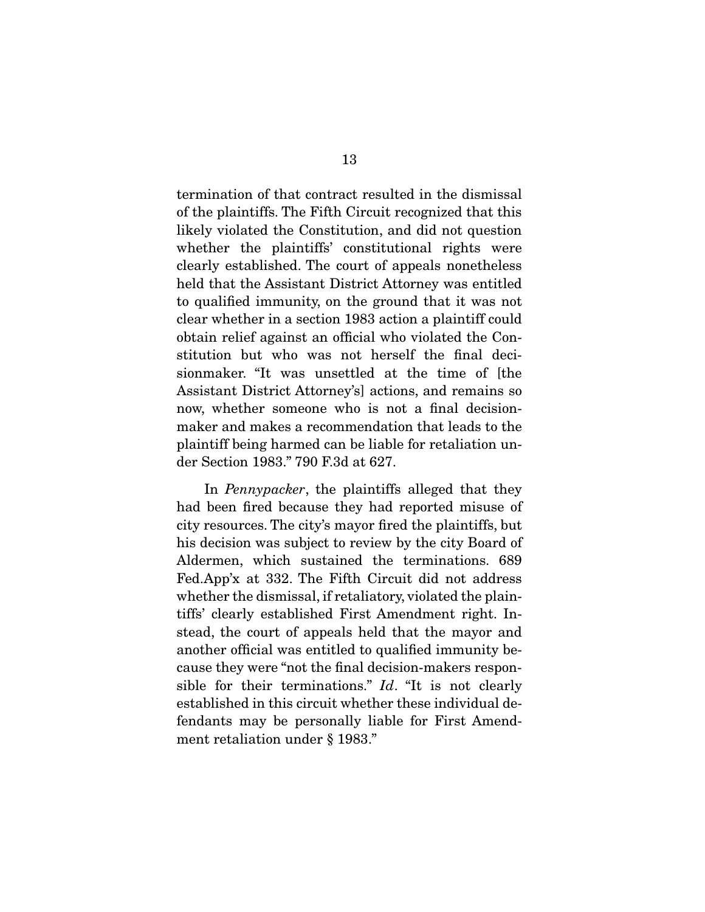termination of that contract resulted in the dismissal of the plaintiffs. The Fifth Circuit recognized that this likely violated the Constitution, and did not question whether the plaintiffs' constitutional rights were clearly established. The court of appeals nonetheless held that the Assistant District Attorney was entitled to qualified immunity, on the ground that it was not clear whether in a section 1983 action a plaintiff could obtain relief against an official who violated the Constitution but who was not herself the final decisionmaker. "It was unsettled at the time of [the Assistant District Attorney's] actions, and remains so now, whether someone who is not a final decisionmaker and makes a recommendation that leads to the plaintiff being harmed can be liable for retaliation under Section 1983." 790 F.3d at 627.

 In *Pennypacker*, the plaintiffs alleged that they had been fired because they had reported misuse of city resources. The city's mayor fired the plaintiffs, but his decision was subject to review by the city Board of Aldermen, which sustained the terminations. 689 Fed.App'x at 332. The Fifth Circuit did not address whether the dismissal, if retaliatory, violated the plaintiffs' clearly established First Amendment right. Instead, the court of appeals held that the mayor and another official was entitled to qualified immunity because they were "not the final decision-makers responsible for their terminations." *Id*. "It is not clearly established in this circuit whether these individual defendants may be personally liable for First Amendment retaliation under § 1983."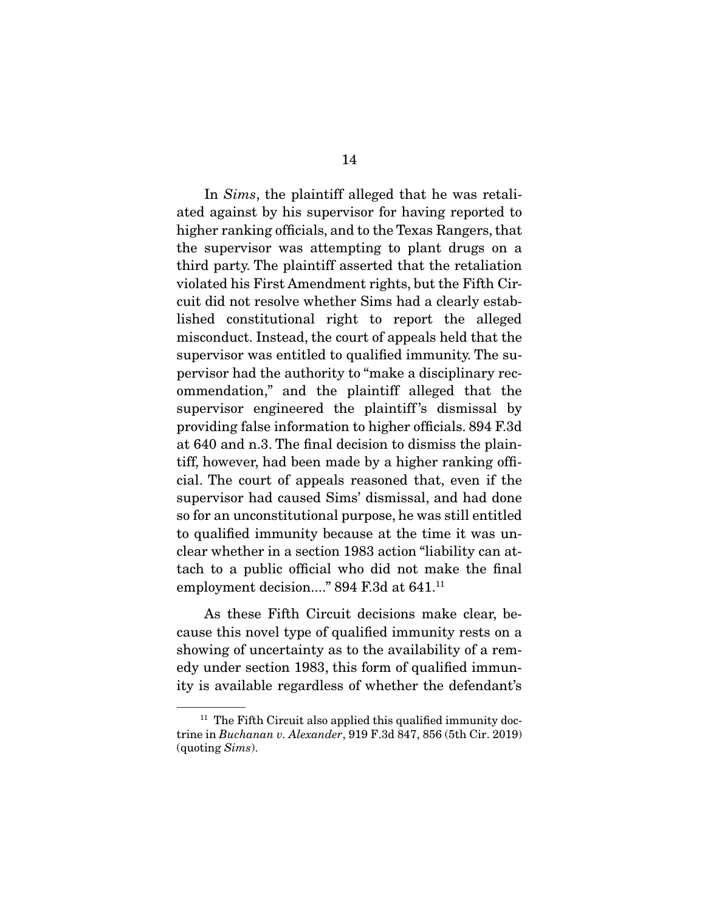In *Sims*, the plaintiff alleged that he was retaliated against by his supervisor for having reported to higher ranking officials, and to the Texas Rangers, that the supervisor was attempting to plant drugs on a third party. The plaintiff asserted that the retaliation violated his First Amendment rights, but the Fifth Circuit did not resolve whether Sims had a clearly established constitutional right to report the alleged misconduct. Instead, the court of appeals held that the supervisor was entitled to qualified immunity. The supervisor had the authority to "make a disciplinary recommendation," and the plaintiff alleged that the supervisor engineered the plaintiff's dismissal by providing false information to higher officials. 894 F.3d at 640 and n.3. The final decision to dismiss the plaintiff, however, had been made by a higher ranking official. The court of appeals reasoned that, even if the supervisor had caused Sims' dismissal, and had done so for an unconstitutional purpose, he was still entitled to qualified immunity because at the time it was unclear whether in a section 1983 action "liability can attach to a public official who did not make the final employment decision...." 894 F.3d at 641.11

 As these Fifth Circuit decisions make clear, because this novel type of qualified immunity rests on a showing of uncertainty as to the availability of a remedy under section 1983, this form of qualified immunity is available regardless of whether the defendant's

 $11$  The Fifth Circuit also applied this qualified immunity doctrine in *Buchanan v. Alexander*, 919 F.3d 847, 856 (5th Cir. 2019) (quoting *Sims*).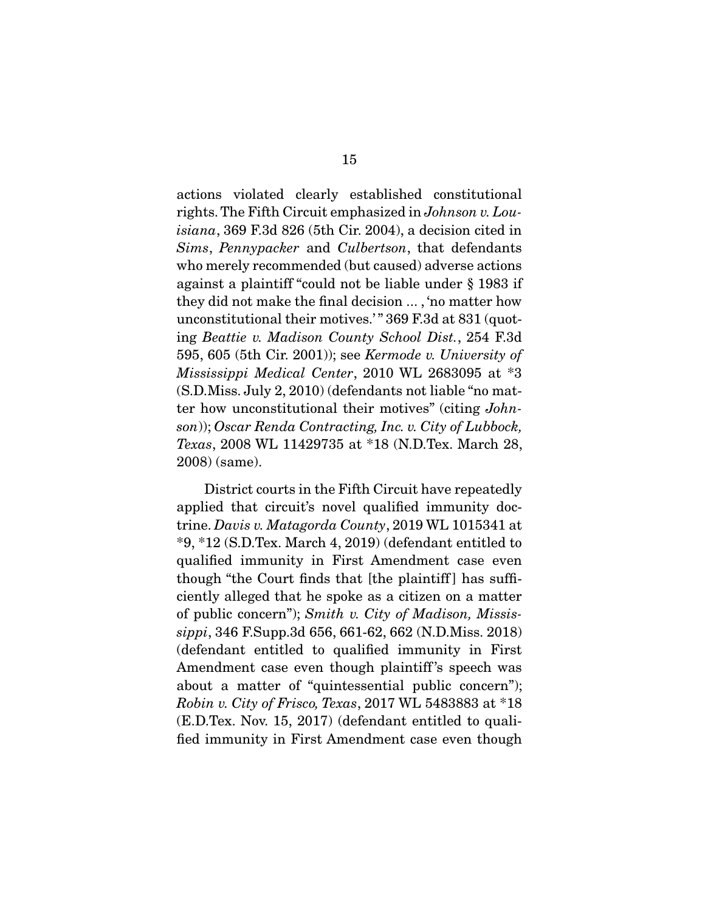actions violated clearly established constitutional rights. The Fifth Circuit emphasized in *Johnson v. Louisiana*, 369 F.3d 826 (5th Cir. 2004), a decision cited in *Sims*, *Pennypacker* and *Culbertson*, that defendants who merely recommended (but caused) adverse actions against a plaintiff "could not be liable under § 1983 if they did not make the final decision ... , 'no matter how unconstitutional their motives.'" 369 F.3d at 831 (quoting *Beattie v. Madison County School Dist.*, 254 F.3d 595, 605 (5th Cir. 2001)); see *Kermode v. University of Mississippi Medical Center*, 2010 WL 2683095 at \*3 (S.D.Miss. July 2, 2010) (defendants not liable "no matter how unconstitutional their motives" (citing *Johnson*)); *Oscar Renda Contracting, Inc. v. City of Lubbock, Texas*, 2008 WL 11429735 at \*18 (N.D.Tex. March 28, 2008) (same).

 District courts in the Fifth Circuit have repeatedly applied that circuit's novel qualified immunity doctrine. *Davis v. Matagorda County*, 2019 WL 1015341 at \*9, \*12 (S.D.Tex. March 4, 2019) (defendant entitled to qualified immunity in First Amendment case even though "the Court finds that [the plaintiff] has sufficiently alleged that he spoke as a citizen on a matter of public concern"); *Smith v. City of Madison, Mississippi*, 346 F.Supp.3d 656, 661-62, 662 (N.D.Miss. 2018) (defendant entitled to qualified immunity in First Amendment case even though plaintiff 's speech was about a matter of "quintessential public concern"); *Robin v. City of Frisco, Texas*, 2017 WL 5483883 at \*18 (E.D.Tex. Nov. 15, 2017) (defendant entitled to qualified immunity in First Amendment case even though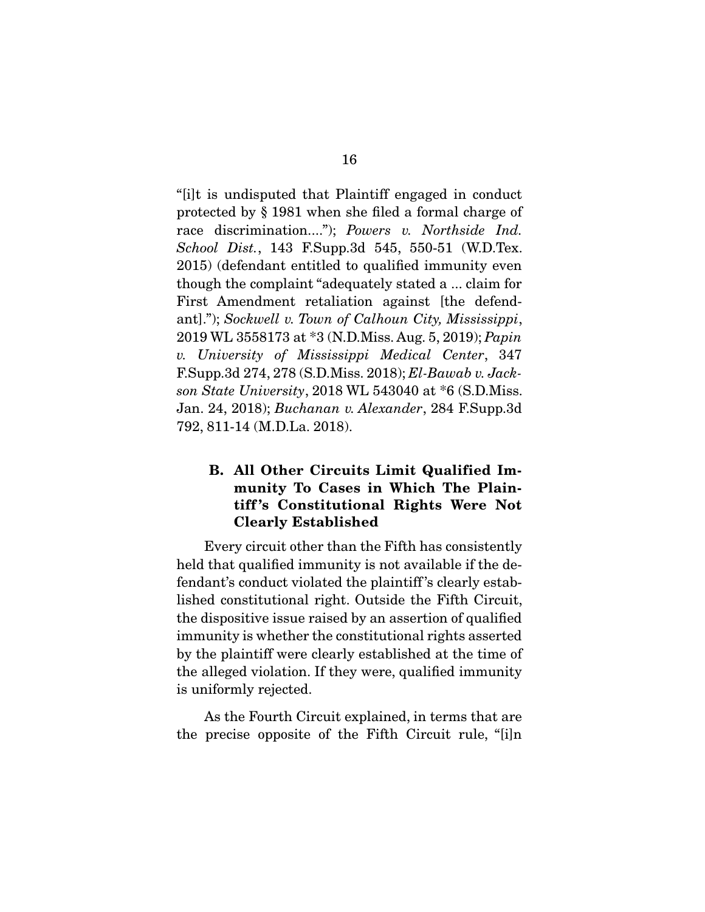"[i]t is undisputed that Plaintiff engaged in conduct protected by § 1981 when she filed a formal charge of race discrimination...."); *Powers v. Northside Ind. School Dist.*, 143 F.Supp.3d 545, 550-51 (W.D.Tex. 2015) (defendant entitled to qualified immunity even though the complaint "adequately stated a ... claim for First Amendment retaliation against [the defendant]."); *Sockwell v. Town of Calhoun City, Mississippi*, 2019 WL 3558173 at \*3 (N.D.Miss. Aug. 5, 2019); *Papin v. University of Mississippi Medical Center*, 347 F.Supp.3d 274, 278 (S.D.Miss. 2018); *El-Bawab v. Jackson State University*, 2018 WL 543040 at \*6 (S.D.Miss. Jan. 24, 2018); *Buchanan v. Alexander*, 284 F.Supp.3d 792, 811-14 (M.D.La. 2018).

# **B. All Other Circuits Limit Qualified Immunity To Cases in Which The Plaintiff 's Constitutional Rights Were Not Clearly Established**

 Every circuit other than the Fifth has consistently held that qualified immunity is not available if the defendant's conduct violated the plaintiff 's clearly established constitutional right. Outside the Fifth Circuit, the dispositive issue raised by an assertion of qualified immunity is whether the constitutional rights asserted by the plaintiff were clearly established at the time of the alleged violation. If they were, qualified immunity is uniformly rejected.

 As the Fourth Circuit explained, in terms that are the precise opposite of the Fifth Circuit rule, "[i]n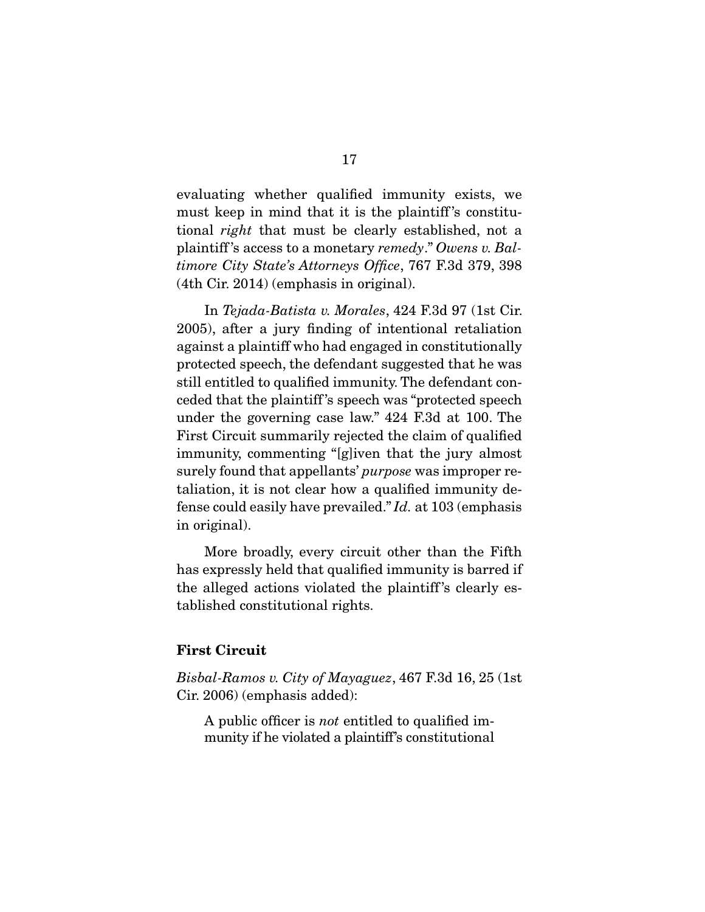evaluating whether qualified immunity exists, we must keep in mind that it is the plaintiff 's constitutional *right* that must be clearly established, not a plaintiff 's access to a monetary *remedy*." *Owens v. Baltimore City State's Attorneys Office*, 767 F.3d 379, 398 (4th Cir. 2014) (emphasis in original).

 In *Tejada-Batista v. Morales*, 424 F.3d 97 (1st Cir. 2005), after a jury finding of intentional retaliation against a plaintiff who had engaged in constitutionally protected speech, the defendant suggested that he was still entitled to qualified immunity. The defendant conceded that the plaintiff 's speech was "protected speech under the governing case law." 424 F.3d at 100. The First Circuit summarily rejected the claim of qualified immunity, commenting "[g]iven that the jury almost surely found that appellants' *purpose* was improper retaliation, it is not clear how a qualified immunity defense could easily have prevailed." *Id.* at 103 (emphasis in original).

 More broadly, every circuit other than the Fifth has expressly held that qualified immunity is barred if the alleged actions violated the plaintiff 's clearly established constitutional rights.

#### **First Circuit**

*Bisbal-Ramos v. City of Mayaguez*, 467 F.3d 16, 25 (1st Cir. 2006) (emphasis added):

A public officer is *not* entitled to qualified immunity if he violated a plaintiff's constitutional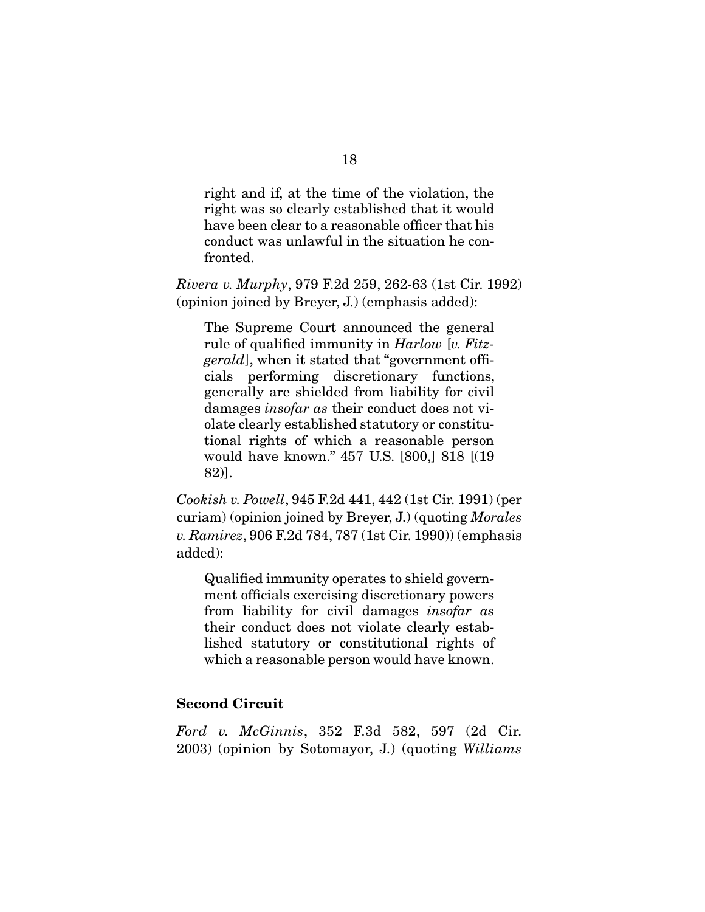right and if, at the time of the violation, the right was so clearly established that it would have been clear to a reasonable officer that his conduct was unlawful in the situation he confronted.

*Rivera v. Murphy*, 979 F.2d 259, 262-63 (1st Cir. 1992) (opinion joined by Breyer, J.) (emphasis added):

The Supreme Court announced the general rule of qualified immunity in *Harlow* [*v. Fitzgerald*], when it stated that "government officials performing discretionary functions, generally are shielded from liability for civil damages *insofar as* their conduct does not violate clearly established statutory or constitutional rights of which a reasonable person would have known." 457 U.S. [800,] 818 [(19 82)].

*Cookish v. Powell*, 945 F.2d 441, 442 (1st Cir. 1991) (per curiam) (opinion joined by Breyer, J.) (quoting *Morales v. Ramirez*, 906 F.2d 784, 787 (1st Cir. 1990)) (emphasis added):

Qualified immunity operates to shield government officials exercising discretionary powers from liability for civil damages *insofar as* their conduct does not violate clearly established statutory or constitutional rights of which a reasonable person would have known.

### **Second Circuit**

*Ford v. McGinnis*, 352 F.3d 582, 597 (2d Cir. 2003) (opinion by Sotomayor, J.) (quoting *Williams*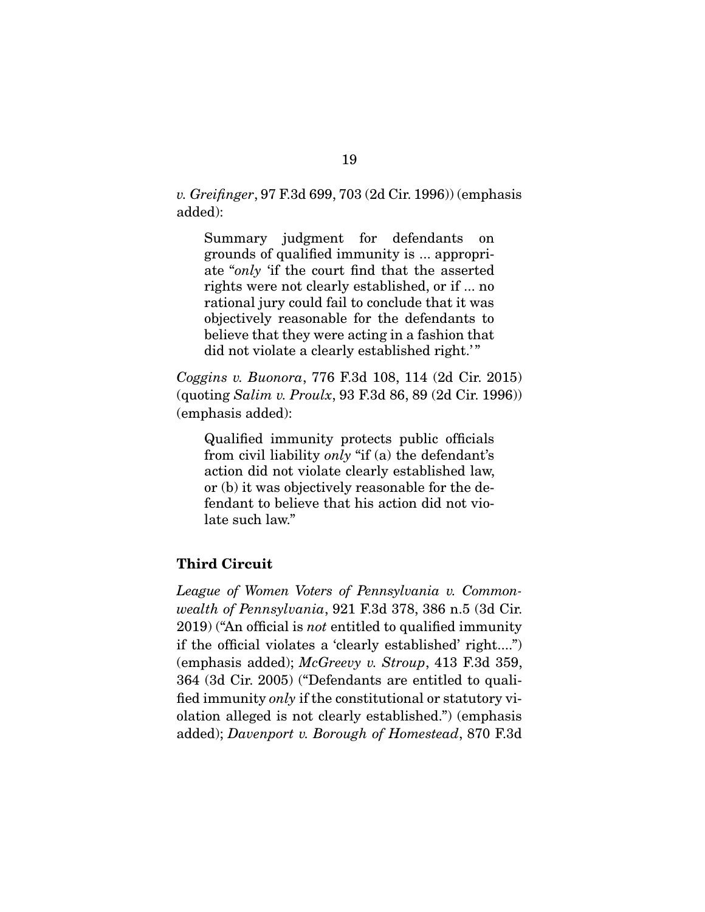*v. Greifinger*, 97 F.3d 699, 703 (2d Cir. 1996)) (emphasis added):

Summary judgment for defendants on grounds of qualified immunity is ... appropriate "*only* 'if the court find that the asserted rights were not clearly established, or if ... no rational jury could fail to conclude that it was objectively reasonable for the defendants to believe that they were acting in a fashion that did not violate a clearly established right."

*Coggins v. Buonora*, 776 F.3d 108, 114 (2d Cir. 2015) (quoting *Salim v. Proulx*, 93 F.3d 86, 89 (2d Cir. 1996)) (emphasis added):

Qualified immunity protects public officials from civil liability *only* "if (a) the defendant's action did not violate clearly established law, or (b) it was objectively reasonable for the defendant to believe that his action did not violate such law."

# **Third Circuit**

*League of Women Voters of Pennsylvania v. Commonwealth of Pennsylvania*, 921 F.3d 378, 386 n.5 (3d Cir. 2019) ("An official is *not* entitled to qualified immunity if the official violates a 'clearly established' right....") (emphasis added); *McGreevy v. Stroup*, 413 F.3d 359, 364 (3d Cir. 2005) ("Defendants are entitled to qualified immunity *only* if the constitutional or statutory violation alleged is not clearly established.") (emphasis added); *Davenport v. Borough of Homestead*, 870 F.3d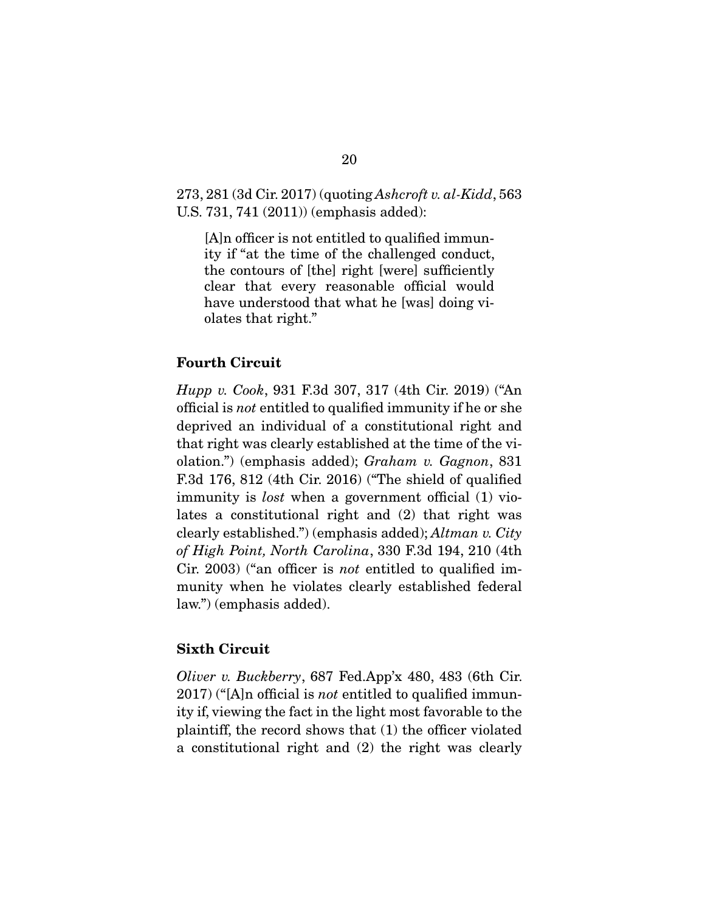273, 281 (3d Cir. 2017) (quoting *Ashcroft v. al-Kidd*, 563 U.S. 731, 741 (2011)) (emphasis added):

[A]n officer is not entitled to qualified immunity if "at the time of the challenged conduct, the contours of [the] right [were] sufficiently clear that every reasonable official would have understood that what he [was] doing violates that right."

### **Fourth Circuit**

*Hupp v. Cook*, 931 F.3d 307, 317 (4th Cir. 2019) ("An official is *not* entitled to qualified immunity if he or she deprived an individual of a constitutional right and that right was clearly established at the time of the violation.") (emphasis added); *Graham v. Gagnon*, 831 F.3d 176, 812 (4th Cir. 2016) ("The shield of qualified immunity is *lost* when a government official (1) violates a constitutional right and (2) that right was clearly established.") (emphasis added); *Altman v. City of High Point, North Carolina*, 330 F.3d 194, 210 (4th Cir. 2003) ("an officer is *not* entitled to qualified immunity when he violates clearly established federal law.") (emphasis added).

### **Sixth Circuit**

*Oliver v. Buckberry*, 687 Fed.App'x 480, 483 (6th Cir. 2017) ("[A]n official is *not* entitled to qualified immunity if, viewing the fact in the light most favorable to the plaintiff, the record shows that (1) the officer violated a constitutional right and (2) the right was clearly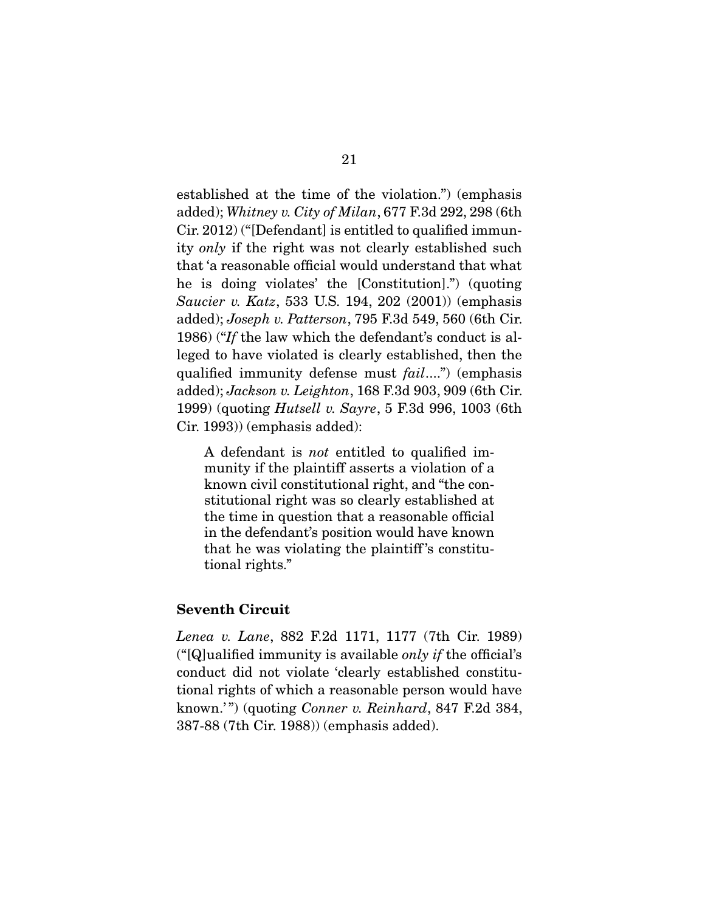established at the time of the violation.") (emphasis added); *Whitney v. City of Milan*, 677 F.3d 292, 298 (6th Cir. 2012) ("[Defendant] is entitled to qualified immunity *only* if the right was not clearly established such that 'a reasonable official would understand that what he is doing violates' the [Constitution].") (quoting *Saucier v. Katz*, 533 U.S. 194, 202 (2001)) (emphasis added); *Joseph v. Patterson*, 795 F.3d 549, 560 (6th Cir. 1986) ("*If* the law which the defendant's conduct is alleged to have violated is clearly established, then the qualified immunity defense must *fail*....") (emphasis added); *Jackson v. Leighton*, 168 F.3d 903, 909 (6th Cir. 1999) (quoting *Hutsell v. Sayre*, 5 F.3d 996, 1003 (6th Cir. 1993)) (emphasis added):

A defendant is *not* entitled to qualified immunity if the plaintiff asserts a violation of a known civil constitutional right, and "the constitutional right was so clearly established at the time in question that a reasonable official in the defendant's position would have known that he was violating the plaintiff 's constitutional rights."

### **Seventh Circuit**

*Lenea v. Lane*, 882 F.2d 1171, 1177 (7th Cir. 1989) ("[Q]ualified immunity is available *only if* the official's conduct did not violate 'clearly established constitutional rights of which a reasonable person would have known.'") (quoting *Conner v. Reinhard*, 847 F.2d 384, 387-88 (7th Cir. 1988)) (emphasis added).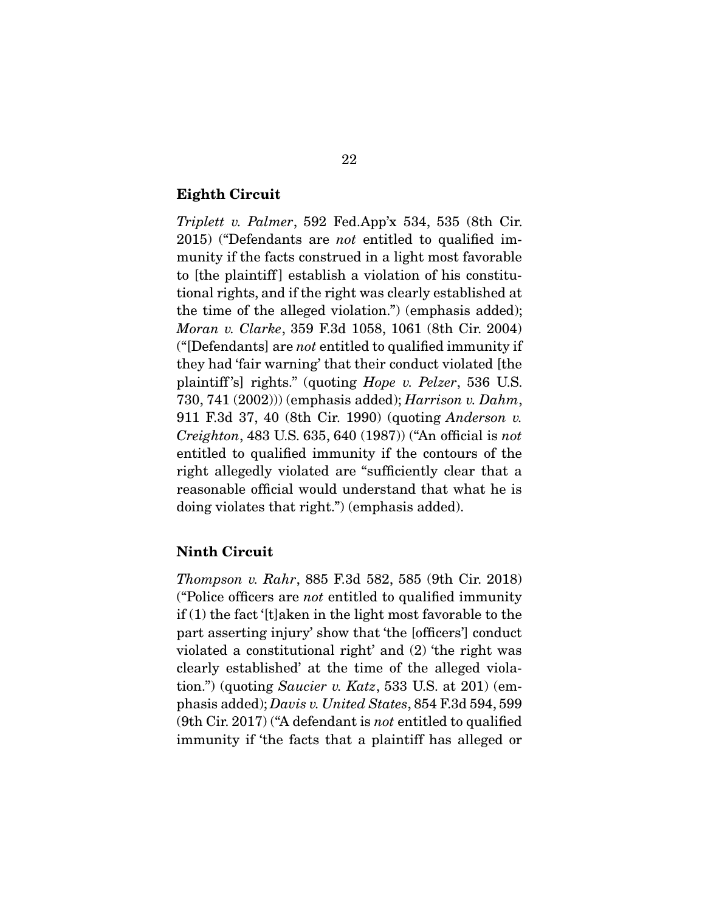#### **Eighth Circuit**

*Triplett v. Palmer*, 592 Fed.App'x 534, 535 (8th Cir. 2015) ("Defendants are *not* entitled to qualified immunity if the facts construed in a light most favorable to [the plaintiff] establish a violation of his constitutional rights, and if the right was clearly established at the time of the alleged violation.") (emphasis added); *Moran v. Clarke*, 359 F.3d 1058, 1061 (8th Cir. 2004) ("[Defendants] are *not* entitled to qualified immunity if they had 'fair warning' that their conduct violated [the plaintiff 's] rights." (quoting *Hope v. Pelzer*, 536 U.S. 730, 741 (2002))) (emphasis added); *Harrison v. Dahm*, 911 F.3d 37, 40 (8th Cir. 1990) (quoting *Anderson v. Creighton*, 483 U.S. 635, 640 (1987)) ("An official is *not* entitled to qualified immunity if the contours of the right allegedly violated are "sufficiently clear that a reasonable official would understand that what he is doing violates that right.") (emphasis added).

#### **Ninth Circuit**

*Thompson v. Rahr*, 885 F.3d 582, 585 (9th Cir. 2018) ("Police officers are *not* entitled to qualified immunity  $if(1)$  the fact '[t]aken in the light most favorable to the part asserting injury' show that 'the [officers'] conduct violated a constitutional right' and (2) 'the right was clearly established' at the time of the alleged violation.") (quoting *Saucier v. Katz*, 533 U.S. at 201) (emphasis added); *Davis v. United States*, 854 F.3d 594, 599 (9th Cir. 2017) ("A defendant is *not* entitled to qualified immunity if 'the facts that a plaintiff has alleged or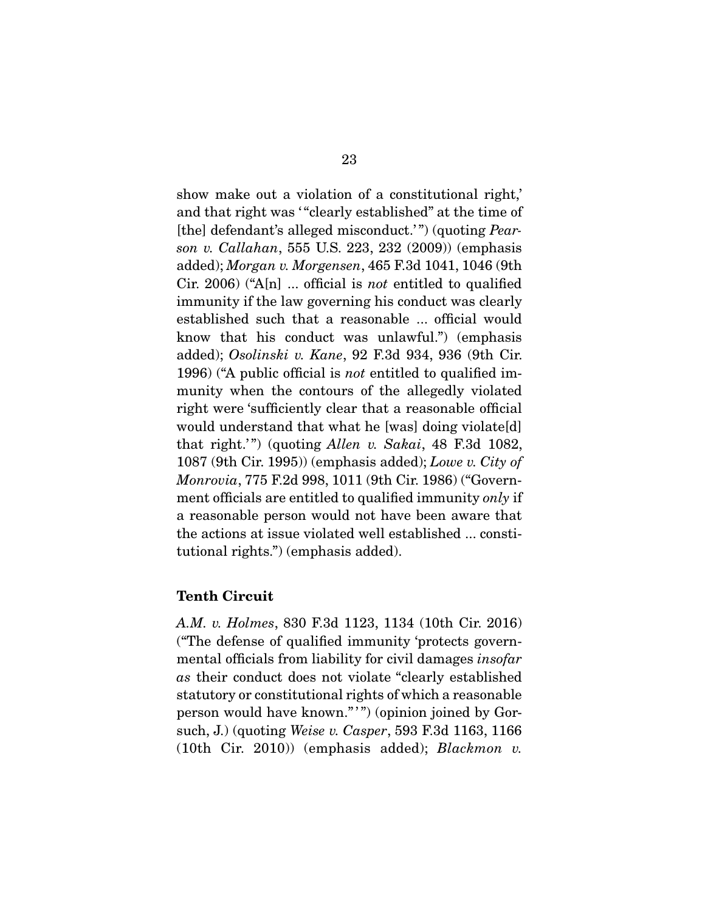show make out a violation of a constitutional right,' and that right was "clearly established" at the time of [the] defendant's alleged misconduct.' ") (quoting *Pearson v. Callahan*, 555 U.S. 223, 232 (2009)) (emphasis added); *Morgan v. Morgensen*, 465 F.3d 1041, 1046 (9th Cir. 2006) ("A[n] ... official is *not* entitled to qualified immunity if the law governing his conduct was clearly established such that a reasonable ... official would know that his conduct was unlawful.") (emphasis added); *Osolinski v. Kane*, 92 F.3d 934, 936 (9th Cir. 1996) ("A public official is *not* entitled to qualified immunity when the contours of the allegedly violated right were 'sufficiently clear that a reasonable official would understand that what he [was] doing violate[d] that right.' ") (quoting *Allen v. Sakai*, 48 F.3d 1082, 1087 (9th Cir. 1995)) (emphasis added); *Lowe v. City of Monrovia*, 775 F.2d 998, 1011 (9th Cir. 1986) ("Government officials are entitled to qualified immunity *only* if a reasonable person would not have been aware that the actions at issue violated well established ... constitutional rights.") (emphasis added).

# **Tenth Circuit**

*A.M. v. Holmes*, 830 F.3d 1123, 1134 (10th Cir. 2016) ("The defense of qualified immunity 'protects governmental officials from liability for civil damages *insofar as* their conduct does not violate "clearly established statutory or constitutional rights of which a reasonable person would have known."") (opinion joined by Gorsuch, J.) (quoting *Weise v. Casper*, 593 F.3d 1163, 1166 (10th Cir. 2010)) (emphasis added); *Blackmon v.*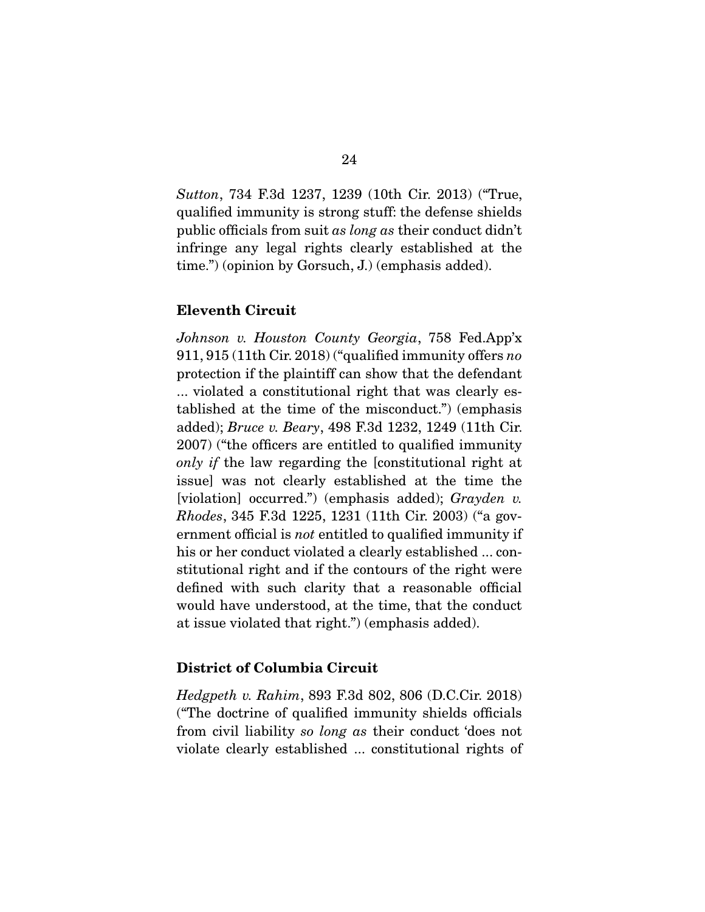*Sutton*, 734 F.3d 1237, 1239 (10th Cir. 2013) ("True, qualified immunity is strong stuff: the defense shields public officials from suit *as long as* their conduct didn't infringe any legal rights clearly established at the time.") (opinion by Gorsuch, J.) (emphasis added).

### **Eleventh Circuit**

*Johnson v. Houston County Georgia*, 758 Fed.App'x 911, 915 (11th Cir. 2018) ("qualified immunity offers *no* protection if the plaintiff can show that the defendant ... violated a constitutional right that was clearly established at the time of the misconduct.") (emphasis added); *Bruce v. Beary*, 498 F.3d 1232, 1249 (11th Cir. 2007) ("the officers are entitled to qualified immunity *only if* the law regarding the [constitutional right at issue] was not clearly established at the time the [violation] occurred.") (emphasis added); *Grayden v. Rhodes*, 345 F.3d 1225, 1231 (11th Cir. 2003) ("a government official is *not* entitled to qualified immunity if his or her conduct violated a clearly established ... constitutional right and if the contours of the right were defined with such clarity that a reasonable official would have understood, at the time, that the conduct at issue violated that right.") (emphasis added).

#### **District of Columbia Circuit**

*Hedgpeth v. Rahim*, 893 F.3d 802, 806 (D.C.Cir. 2018) ("The doctrine of qualified immunity shields officials from civil liability *so long as* their conduct 'does not violate clearly established ... constitutional rights of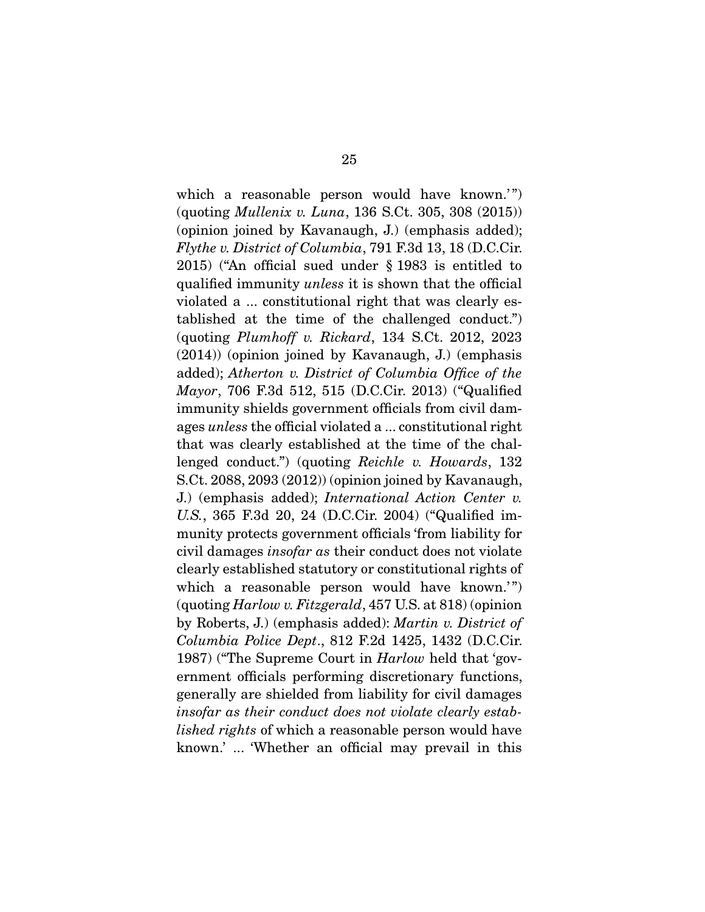which a reasonable person would have known." (quoting *Mullenix v. Luna*, 136 S.Ct. 305, 308 (2015)) (opinion joined by Kavanaugh, J.) (emphasis added); *Flythe v. District of Columbia*, 791 F.3d 13, 18 (D.C.Cir. 2015) ("An official sued under § 1983 is entitled to qualified immunity *unless* it is shown that the official violated a ... constitutional right that was clearly established at the time of the challenged conduct.") (quoting *Plumhoff v. Rickard*, 134 S.Ct. 2012, 2023 (2014)) (opinion joined by Kavanaugh, J.) (emphasis added); *Atherton v. District of Columbia Office of the Mayor*, 706 F.3d 512, 515 (D.C.Cir. 2013) ("Qualified immunity shields government officials from civil damages *unless* the official violated a ... constitutional right that was clearly established at the time of the challenged conduct.") (quoting *Reichle v. Howards*, 132 S.Ct. 2088, 2093 (2012)) (opinion joined by Kavanaugh, J.) (emphasis added); *International Action Center v. U.S.*, 365 F.3d 20, 24 (D.C.Cir. 2004) ("Qualified immunity protects government officials 'from liability for civil damages *insofar as* their conduct does not violate clearly established statutory or constitutional rights of which a reasonable person would have known." (quoting *Harlow v. Fitzgerald*, 457 U.S. at 818) (opinion by Roberts, J.) (emphasis added): *Martin v. District of Columbia Police Dept*., 812 F.2d 1425, 1432 (D.C.Cir. 1987) ("The Supreme Court in *Harlow* held that 'government officials performing discretionary functions, generally are shielded from liability for civil damages *insofar as their conduct does not violate clearly established rights* of which a reasonable person would have known.' ... 'Whether an official may prevail in this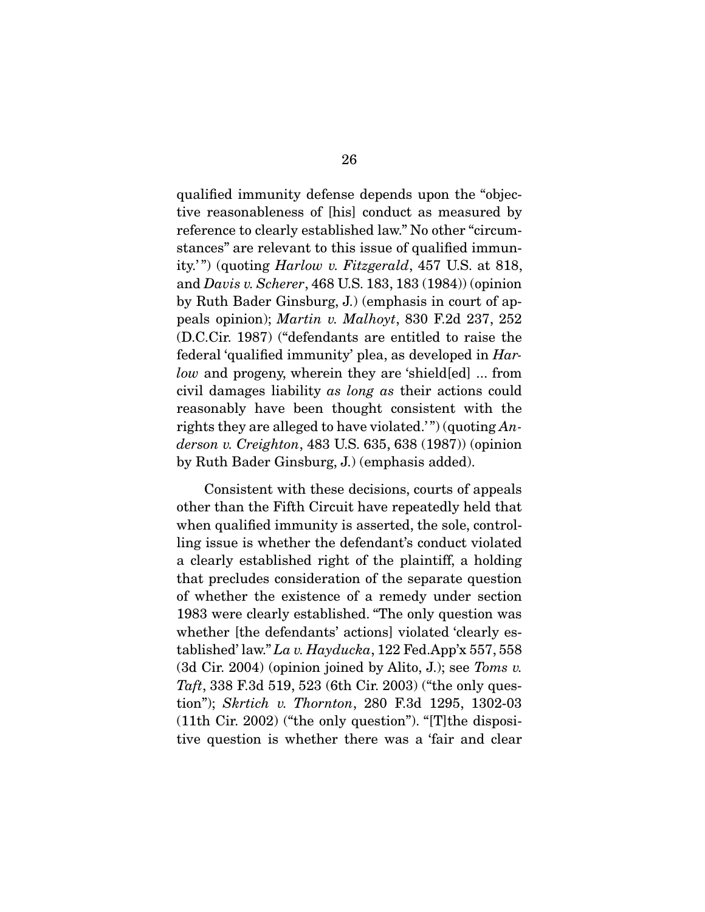qualified immunity defense depends upon the "objective reasonableness of [his] conduct as measured by reference to clearly established law." No other "circumstances" are relevant to this issue of qualified immunity.' ") (quoting *Harlow v. Fitzgerald*, 457 U.S. at 818, and *Davis v. Scherer*, 468 U.S. 183, 183 (1984)) (opinion by Ruth Bader Ginsburg, J.) (emphasis in court of appeals opinion); *Martin v. Malhoyt*, 830 F.2d 237, 252 (D.C.Cir. 1987) ("defendants are entitled to raise the federal 'qualified immunity' plea, as developed in *Harlow* and progeny, wherein they are 'shield[ed] ... from civil damages liability *as long as* their actions could reasonably have been thought consistent with the rights they are alleged to have violated.' ") (quoting *Anderson v. Creighton*, 483 U.S. 635, 638 (1987)) (opinion by Ruth Bader Ginsburg, J.) (emphasis added).

 Consistent with these decisions, courts of appeals other than the Fifth Circuit have repeatedly held that when qualified immunity is asserted, the sole, controlling issue is whether the defendant's conduct violated a clearly established right of the plaintiff, a holding that precludes consideration of the separate question of whether the existence of a remedy under section 1983 were clearly established. "The only question was whether [the defendants' actions] violated 'clearly established' law." *La v. Hayducka*, 122 Fed.App'x 557, 558 (3d Cir. 2004) (opinion joined by Alito, J.); see *Toms v. Taft*, 338 F.3d 519, 523 (6th Cir. 2003) ("the only question"); *Skrtich v. Thornton*, 280 F.3d 1295, 1302-03 (11th Cir. 2002) ("the only question"). "[T]the dispositive question is whether there was a 'fair and clear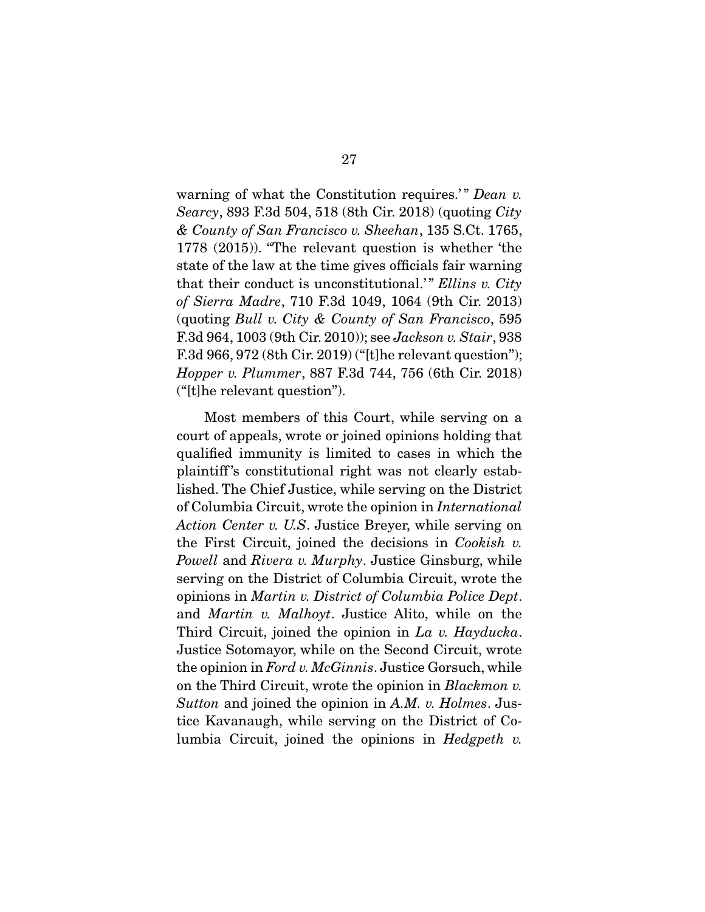warning of what the Constitution requires.'" *Dean v. Searcy*, 893 F.3d 504, 518 (8th Cir. 2018) (quoting *City & County of San Francisco v. Sheehan*, 135 S.Ct. 1765, 1778 (2015)). "The relevant question is whether 'the state of the law at the time gives officials fair warning that their conduct is unconstitutional.' " *Ellins v. City of Sierra Madre*, 710 F.3d 1049, 1064 (9th Cir. 2013) (quoting *Bull v. City & County of San Francisco*, 595 F.3d 964, 1003 (9th Cir. 2010)); see *Jackson v. Stair*, 938 F.3d 966, 972 (8th Cir. 2019) ("[t]he relevant question"); *Hopper v. Plummer*, 887 F.3d 744, 756 (6th Cir. 2018) ("[t]he relevant question").

 Most members of this Court, while serving on a court of appeals, wrote or joined opinions holding that qualified immunity is limited to cases in which the plaintiff 's constitutional right was not clearly established. The Chief Justice, while serving on the District of Columbia Circuit, wrote the opinion in *International Action Center v. U.S*. Justice Breyer, while serving on the First Circuit, joined the decisions in *Cookish v. Powell* and *Rivera v. Murphy*. Justice Ginsburg, while serving on the District of Columbia Circuit, wrote the opinions in *Martin v. District of Columbia Police Dept*. and *Martin v. Malhoyt*. Justice Alito, while on the Third Circuit, joined the opinion in *La v. Hayducka*. Justice Sotomayor, while on the Second Circuit, wrote the opinion in *Ford v. McGinnis*. Justice Gorsuch, while on the Third Circuit, wrote the opinion in *Blackmon v. Sutton* and joined the opinion in *A.M. v. Holmes*. Justice Kavanaugh, while serving on the District of Columbia Circuit, joined the opinions in *Hedgpeth v.*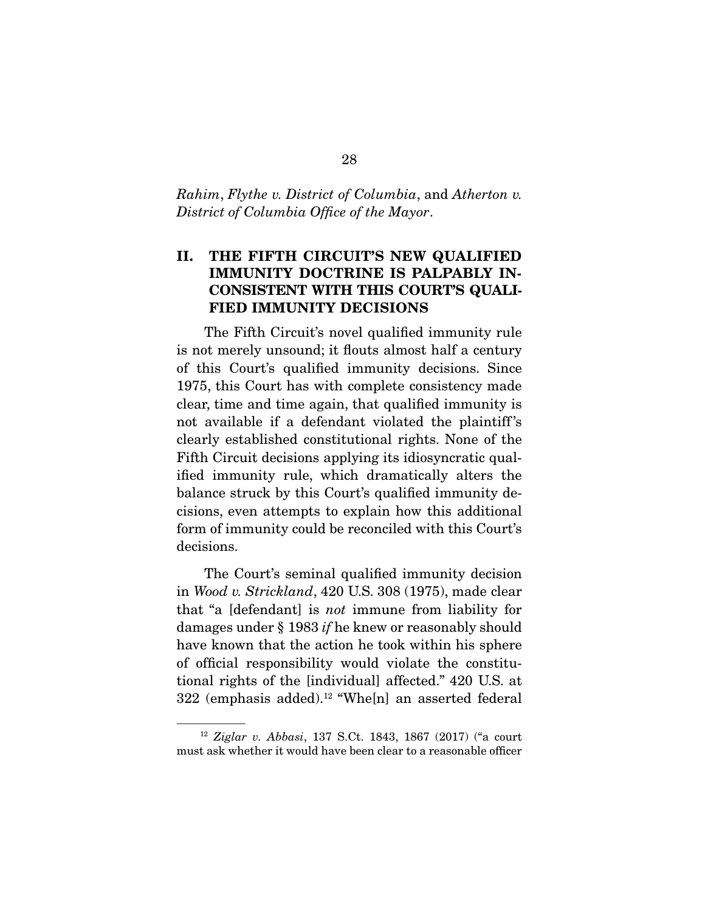*Rahim*, *Flythe v. District of Columbia*, and *Atherton v. District of Columbia Office of the Mayor*.

# **II. THE FIFTH CIRCUIT'S NEW QUALIFIED IMMUNITY DOCTRINE IS PALPABLY IN-CONSISTENT WITH THIS COURT'S QUALI-FIED IMMUNITY DECISIONS**

 The Fifth Circuit's novel qualified immunity rule is not merely unsound; it flouts almost half a century of this Court's qualified immunity decisions. Since 1975, this Court has with complete consistency made clear, time and time again, that qualified immunity is not available if a defendant violated the plaintiff 's clearly established constitutional rights. None of the Fifth Circuit decisions applying its idiosyncratic qualified immunity rule, which dramatically alters the balance struck by this Court's qualified immunity decisions, even attempts to explain how this additional form of immunity could be reconciled with this Court's decisions.

 The Court's seminal qualified immunity decision in *Wood v. Strickland*, 420 U.S. 308 (1975), made clear that "a [defendant] is *not* immune from liability for damages under § 1983 *if* he knew or reasonably should have known that the action he took within his sphere of official responsibility would violate the constitutional rights of the [individual] affected." 420 U.S. at  $322$  (emphasis added).<sup>12</sup> "Whe[n] an asserted federal

<sup>12</sup> *Ziglar v. Abbasi*, 137 S.Ct. 1843, 1867 (2017) ("a court must ask whether it would have been clear to a reasonable officer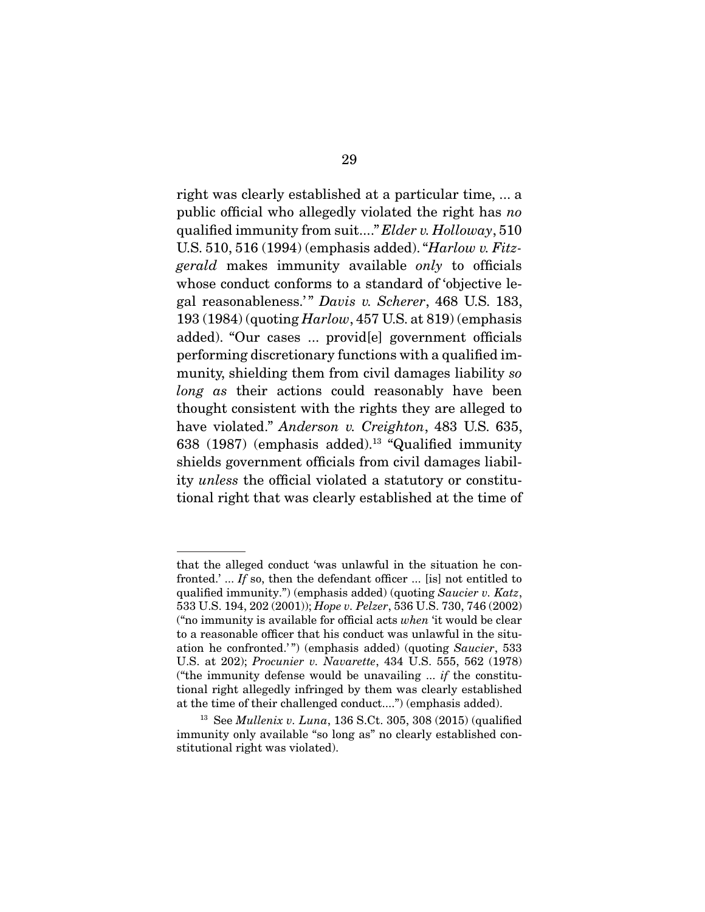right was clearly established at a particular time, ... a public official who allegedly violated the right has *no* qualified immunity from suit...." *Elder v. Holloway*, 510 U.S. 510, 516 (1994) (emphasis added). "*Harlow v. Fitzgerald* makes immunity available *only* to officials whose conduct conforms to a standard of 'objective legal reasonableness." Davis v. Scherer, 468 U.S. 183, 193 (1984) (quoting *Harlow*, 457 U.S. at 819) (emphasis added). "Our cases ... provid[e] government officials performing discretionary functions with a qualified immunity, shielding them from civil damages liability *so long as* their actions could reasonably have been thought consistent with the rights they are alleged to have violated." *Anderson v. Creighton*, 483 U.S. 635, 638 (1987) (emphasis added).<sup>13</sup> "Qualified immunity shields government officials from civil damages liability *unless* the official violated a statutory or constitutional right that was clearly established at the time of

that the alleged conduct 'was unlawful in the situation he confronted.' ... *If* so, then the defendant officer ... [is] not entitled to qualified immunity.") (emphasis added) (quoting *Saucier v. Katz*, 533 U.S. 194, 202 (2001)); *Hope v. Pelzer*, 536 U.S. 730, 746 (2002) ("no immunity is available for official acts *when* 'it would be clear to a reasonable officer that his conduct was unlawful in the situation he confronted.' ") (emphasis added) (quoting *Saucier*, 533 U.S. at 202); *Procunier v. Navarette*, 434 U.S. 555, 562 (1978) ("the immunity defense would be unavailing ... *if* the constitutional right allegedly infringed by them was clearly established at the time of their challenged conduct....") (emphasis added).

<sup>13</sup> See *Mullenix v. Luna*, 136 S.Ct. 305, 308 (2015) (qualified immunity only available "so long as" no clearly established constitutional right was violated).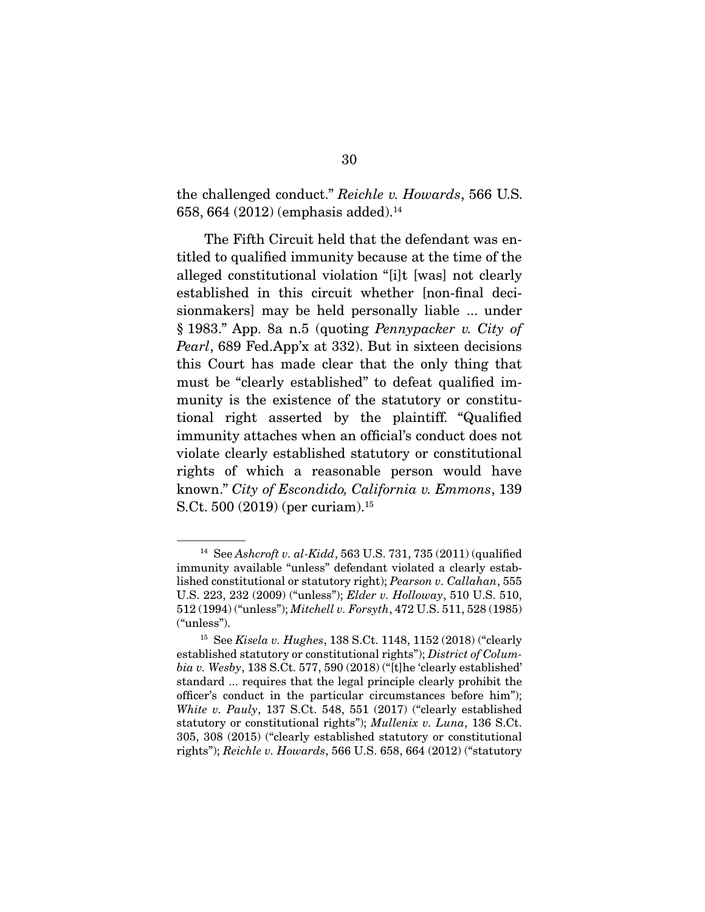the challenged conduct." *Reichle v. Howards*, 566 U.S. 658, 664 (2012) (emphasis added).14

 The Fifth Circuit held that the defendant was entitled to qualified immunity because at the time of the alleged constitutional violation "[i]t [was] not clearly established in this circuit whether [non-final decisionmakers] may be held personally liable ... under § 1983." App. 8a n.5 (quoting *Pennypacker v. City of Pearl*, 689 Fed.App'x at 332). But in sixteen decisions this Court has made clear that the only thing that must be "clearly established" to defeat qualified immunity is the existence of the statutory or constitutional right asserted by the plaintiff. "Qualified immunity attaches when an official's conduct does not violate clearly established statutory or constitutional rights of which a reasonable person would have known." *City of Escondido, California v. Emmons*, 139 S.Ct. 500 (2019) (per curiam).15

<sup>14</sup> See *Ashcroft v. al-Kidd*, 563 U.S. 731, 735 (2011) (qualified immunity available "unless" defendant violated a clearly established constitutional or statutory right); *Pearson v. Callahan*, 555 U.S. 223, 232 (2009) ("unless"); *Elder v. Holloway*, 510 U.S. 510, 512 (1994) ("unless"); *Mitchell v. Forsyth*, 472 U.S. 511, 528 (1985) ("unless").

<sup>15</sup> See *Kisela v. Hughes*, 138 S.Ct. 1148, 1152 (2018) ("clearly established statutory or constitutional rights"); *District of Columbia v. Wesby*, 138 S.Ct. 577, 590 (2018) ("[t]he 'clearly established' standard ... requires that the legal principle clearly prohibit the officer's conduct in the particular circumstances before him"); *White v. Pauly*, 137 S.Ct. 548, 551 (2017) ("clearly established statutory or constitutional rights"); *Mullenix v. Luna*, 136 S.Ct. 305, 308 (2015) ("clearly established statutory or constitutional rights"); *Reichle v. Howards*, 566 U.S. 658, 664 (2012) ("statutory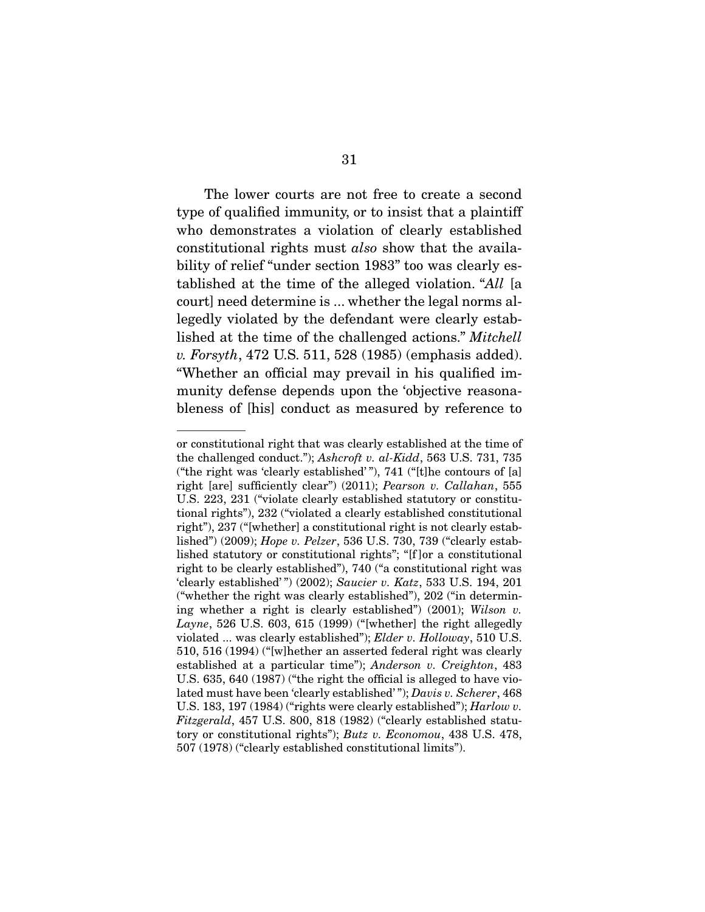The lower courts are not free to create a second type of qualified immunity, or to insist that a plaintiff who demonstrates a violation of clearly established constitutional rights must *also* show that the availability of relief "under section 1983" too was clearly established at the time of the alleged violation. "*All* [a court] need determine is ... whether the legal norms allegedly violated by the defendant were clearly established at the time of the challenged actions." *Mitchell v. Forsyth*, 472 U.S. 511, 528 (1985) (emphasis added). "Whether an official may prevail in his qualified immunity defense depends upon the 'objective reasonableness of [his] conduct as measured by reference to

or constitutional right that was clearly established at the time of the challenged conduct."); *Ashcroft v. al-Kidd*, 563 U.S. 731, 735 ("the right was 'clearly established' "), 741 ("[t]he contours of [a] right [are] sufficiently clear") (2011); *Pearson v. Callahan*, 555 U.S. 223, 231 ("violate clearly established statutory or constitutional rights"), 232 ("violated a clearly established constitutional right"), 237 ("[whether] a constitutional right is not clearly established") (2009); *Hope v. Pelzer*, 536 U.S. 730, 739 ("clearly established statutory or constitutional rights"; "[f ]or a constitutional right to be clearly established"), 740 ("a constitutional right was 'clearly established' ") (2002); *Saucier v. Katz*, 533 U.S. 194, 201 ("whether the right was clearly established"), 202 ("in determining whether a right is clearly established") (2001); *Wilson v. Layne*, 526 U.S. 603, 615 (1999) ("[whether] the right allegedly violated ... was clearly established"); *Elder v. Holloway*, 510 U.S. 510, 516 (1994) ("[w]hether an asserted federal right was clearly established at a particular time"); *Anderson v. Creighton*, 483 U.S. 635, 640 (1987) ("the right the official is alleged to have violated must have been 'clearly established' "); *Davis v. Scherer*, 468 U.S. 183, 197 (1984) ("rights were clearly established"); *Harlow v. Fitzgerald*, 457 U.S. 800, 818 (1982) ("clearly established statutory or constitutional rights"); *Butz v. Economou*, 438 U.S. 478, 507 (1978) ("clearly established constitutional limits").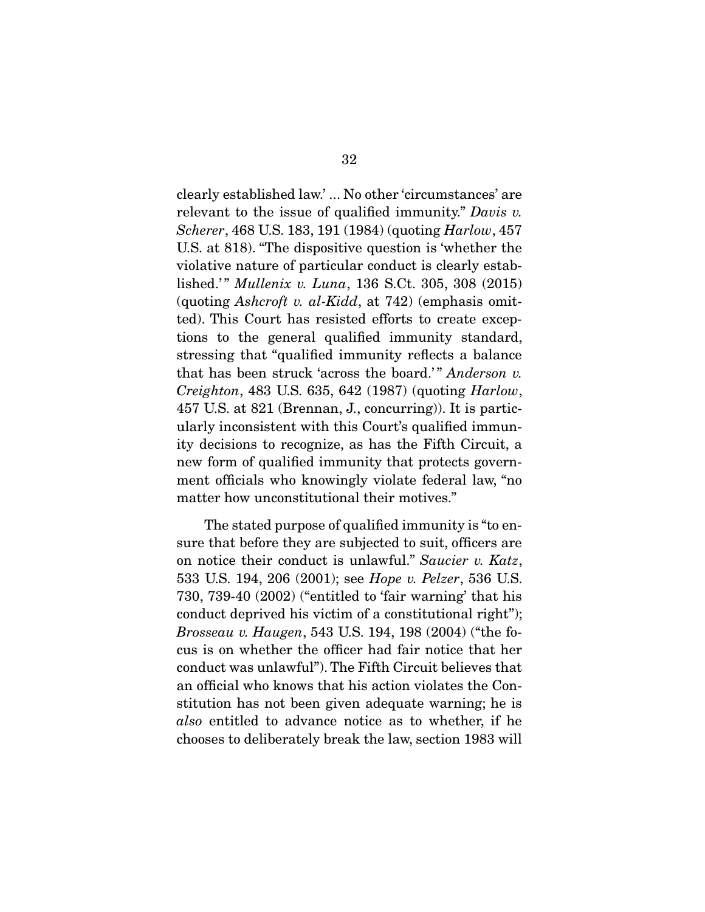clearly established law.' ... No other 'circumstances' are relevant to the issue of qualified immunity." *Davis v. Scherer*, 468 U.S. 183, 191 (1984) (quoting *Harlow*, 457 U.S. at 818). "The dispositive question is 'whether the violative nature of particular conduct is clearly established.'" *Mullenix v. Luna*, 136 S.Ct. 305, 308 (2015) (quoting *Ashcroft v. al-Kidd*, at 742) (emphasis omitted). This Court has resisted efforts to create exceptions to the general qualified immunity standard, stressing that "qualified immunity reflects a balance that has been struck 'across the board.'" *Anderson v. Creighton*, 483 U.S. 635, 642 (1987) (quoting *Harlow*, 457 U.S. at 821 (Brennan, J., concurring)). It is particularly inconsistent with this Court's qualified immunity decisions to recognize, as has the Fifth Circuit, a new form of qualified immunity that protects government officials who knowingly violate federal law, "no matter how unconstitutional their motives."

 The stated purpose of qualified immunity is "to ensure that before they are subjected to suit, officers are on notice their conduct is unlawful." *Saucier v. Katz*, 533 U.S. 194, 206 (2001); see *Hope v. Pelzer*, 536 U.S. 730, 739-40 (2002) ("entitled to 'fair warning' that his conduct deprived his victim of a constitutional right"); *Brosseau v. Haugen*, 543 U.S. 194, 198 (2004) ("the focus is on whether the officer had fair notice that her conduct was unlawful"). The Fifth Circuit believes that an official who knows that his action violates the Constitution has not been given adequate warning; he is *also* entitled to advance notice as to whether, if he chooses to deliberately break the law, section 1983 will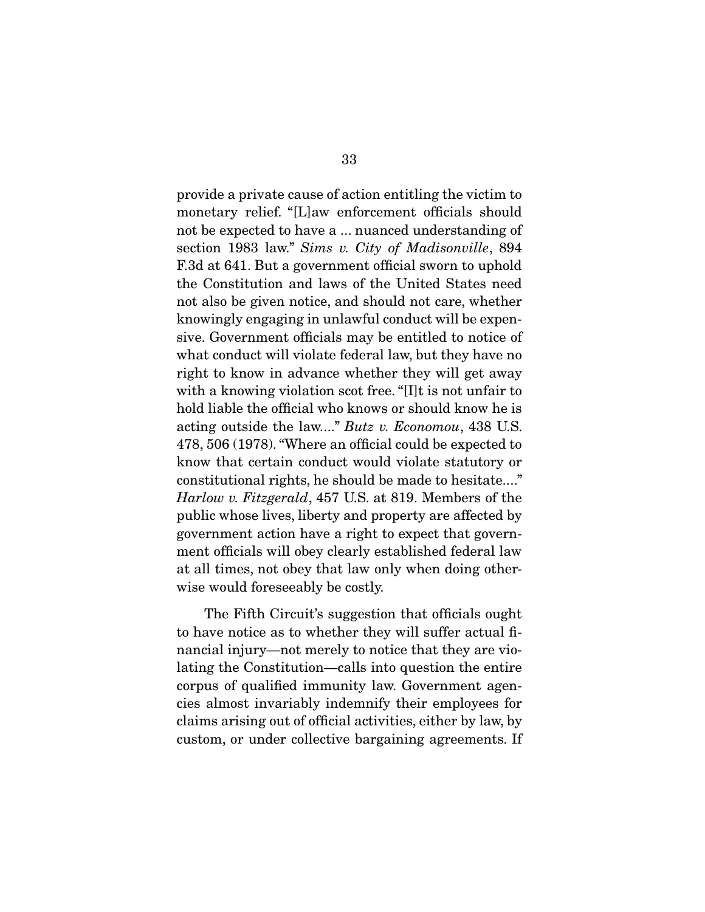provide a private cause of action entitling the victim to monetary relief. "[L]aw enforcement officials should not be expected to have a ... nuanced understanding of section 1983 law." *Sims v. City of Madisonville*, 894 F.3d at 641. But a government official sworn to uphold the Constitution and laws of the United States need not also be given notice, and should not care, whether knowingly engaging in unlawful conduct will be expensive. Government officials may be entitled to notice of what conduct will violate federal law, but they have no right to know in advance whether they will get away with a knowing violation scot free. "[I]t is not unfair to hold liable the official who knows or should know he is acting outside the law...." *Butz v. Economou*, 438 U.S. 478, 506 (1978). "Where an official could be expected to know that certain conduct would violate statutory or constitutional rights, he should be made to hesitate...." *Harlow v. Fitzgerald*, 457 U.S. at 819. Members of the public whose lives, liberty and property are affected by government action have a right to expect that government officials will obey clearly established federal law at all times, not obey that law only when doing otherwise would foreseeably be costly.

 The Fifth Circuit's suggestion that officials ought to have notice as to whether they will suffer actual financial injury—not merely to notice that they are violating the Constitution—calls into question the entire corpus of qualified immunity law. Government agencies almost invariably indemnify their employees for claims arising out of official activities, either by law, by custom, or under collective bargaining agreements. If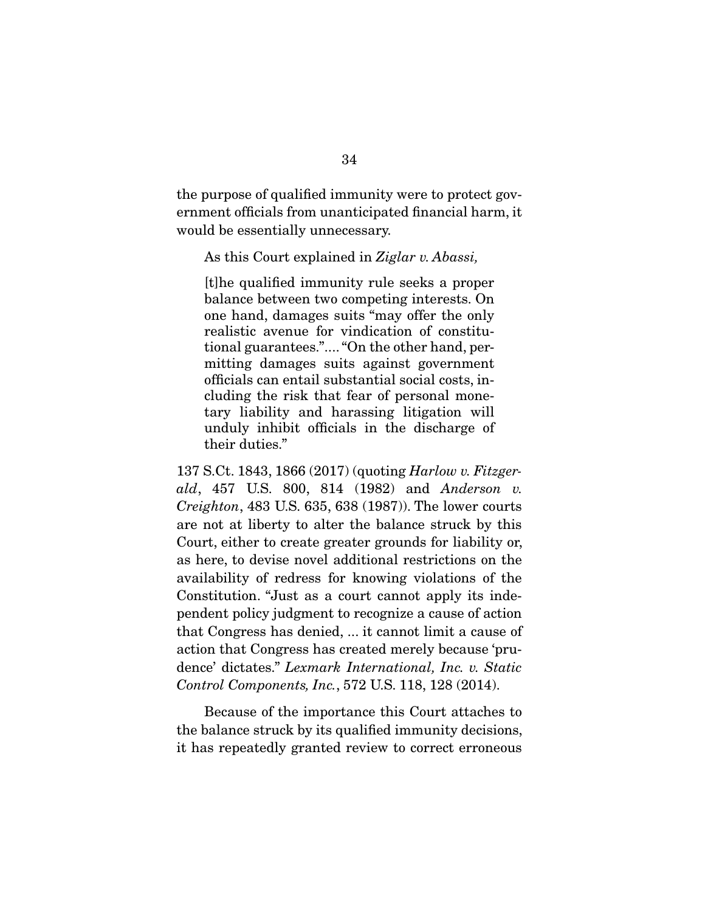the purpose of qualified immunity were to protect government officials from unanticipated financial harm, it would be essentially unnecessary.

As this Court explained in *Ziglar v. Abassi,*

[t]he qualified immunity rule seeks a proper balance between two competing interests. On one hand, damages suits "may offer the only realistic avenue for vindication of constitutional guarantees.".... "On the other hand, permitting damages suits against government officials can entail substantial social costs, including the risk that fear of personal monetary liability and harassing litigation will unduly inhibit officials in the discharge of their duties."

137 S.Ct. 1843, 1866 (2017) (quoting *Harlow v. Fitzgerald*, 457 U.S. 800, 814 (1982) and *Anderson v. Creighton*, 483 U.S. 635, 638 (1987)). The lower courts are not at liberty to alter the balance struck by this Court, either to create greater grounds for liability or, as here, to devise novel additional restrictions on the availability of redress for knowing violations of the Constitution. "Just as a court cannot apply its independent policy judgment to recognize a cause of action that Congress has denied, ... it cannot limit a cause of action that Congress has created merely because 'prudence' dictates." *Lexmark International, Inc. v. Static Control Components, Inc.*, 572 U.S. 118, 128 (2014).

 Because of the importance this Court attaches to the balance struck by its qualified immunity decisions, it has repeatedly granted review to correct erroneous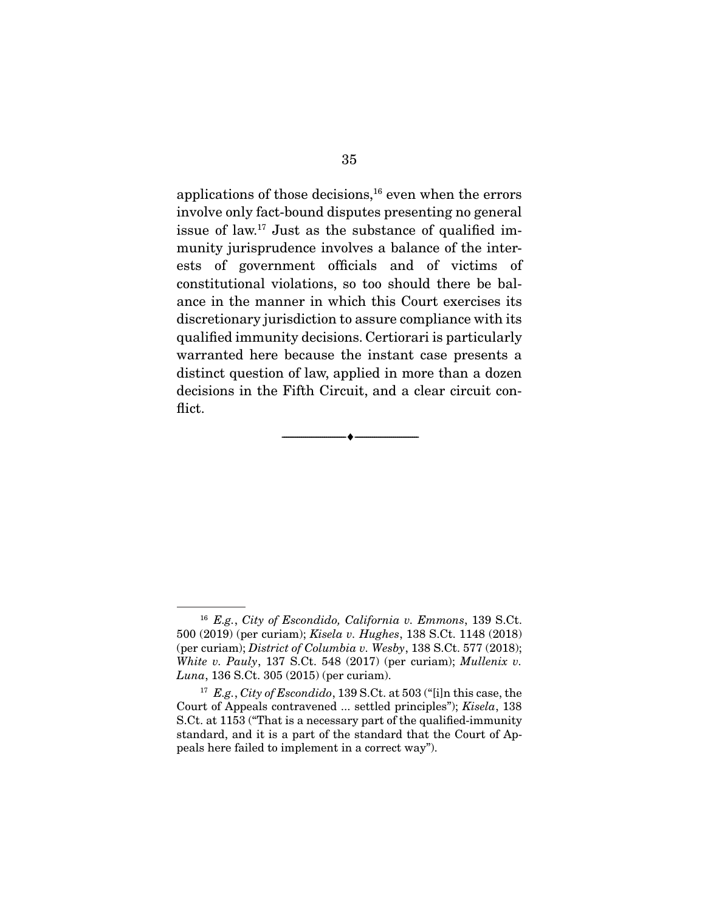applications of those decisions, $16$  even when the errors involve only fact-bound disputes presenting no general issue of law.17 Just as the substance of qualified immunity jurisprudence involves a balance of the interests of government officials and of victims of constitutional violations, so too should there be balance in the manner in which this Court exercises its discretionary jurisdiction to assure compliance with its qualified immunity decisions. Certiorari is particularly warranted here because the instant case presents a distinct question of law, applied in more than a dozen decisions in the Fifth Circuit, and a clear circuit conflict.

--------------------------------- ♦ ---------------------------------

<sup>16</sup> *E.g.*, *City of Escondido, California v. Emmons*, 139 S.Ct. 500 (2019) (per curiam); *Kisela v. Hughes*, 138 S.Ct. 1148 (2018) (per curiam); *District of Columbia v. Wesby*, 138 S.Ct. 577 (2018); *White v. Pauly*, 137 S.Ct. 548 (2017) (per curiam); *Mullenix v. Luna*, 136 S.Ct. 305 (2015) (per curiam).

<sup>17</sup> *E.g.*, *City of Escondido*, 139 S.Ct. at 503 ("[i]n this case, the Court of Appeals contravened ... settled principles"); *Kisela*, 138 S.Ct. at 1153 ("That is a necessary part of the qualified-immunity standard, and it is a part of the standard that the Court of Appeals here failed to implement in a correct way").